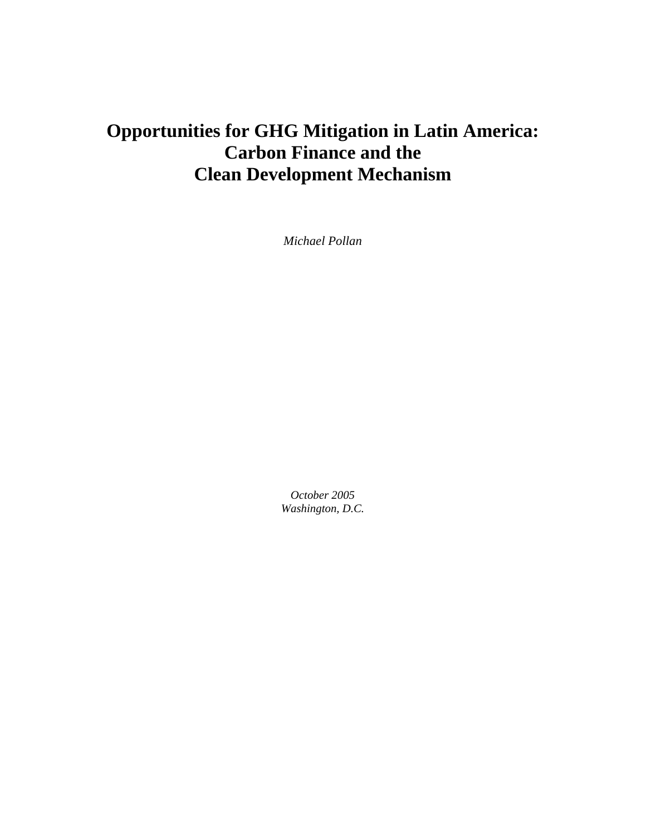## **Opportunities for GHG Mitigation in Latin America: Carbon Finance and the Clean Development Mechanism**

*Michael Pollan* 

*October 2005 Washington, D.C.*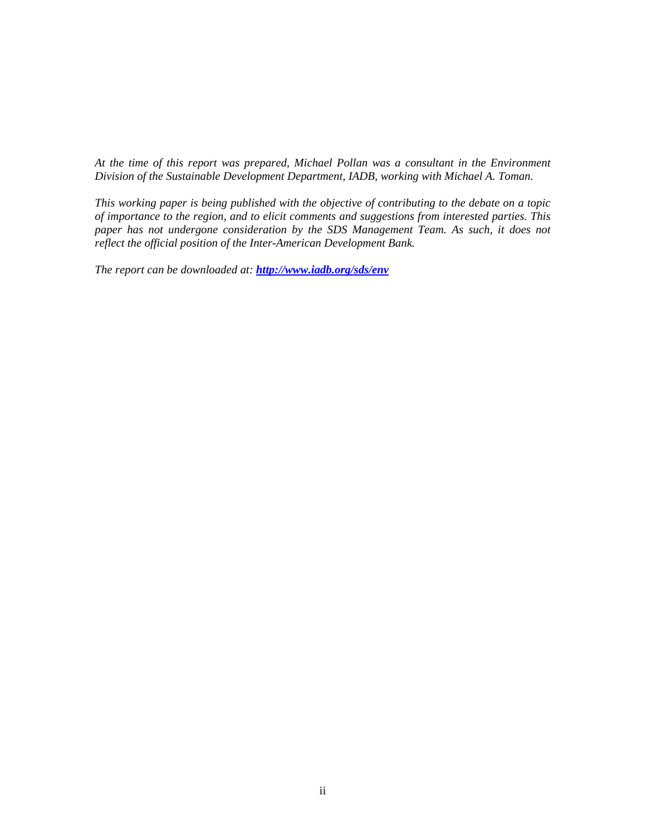*At the time of this report was prepared, Michael Pollan was a consultant in the Environment Division of the Sustainable Development Department, IADB, working with Michael A. Toman.* 

*This working paper is being published with the objective of contributing to the debate on a topic of importance to the region, and to elicit comments and suggestions from interested parties. This paper has not undergone consideration by the SDS Management Team. As such, it does not reflect the official position of the Inter-American Development Bank.* 

*The report can be downloaded at: http://www.iadb.org/sds/env*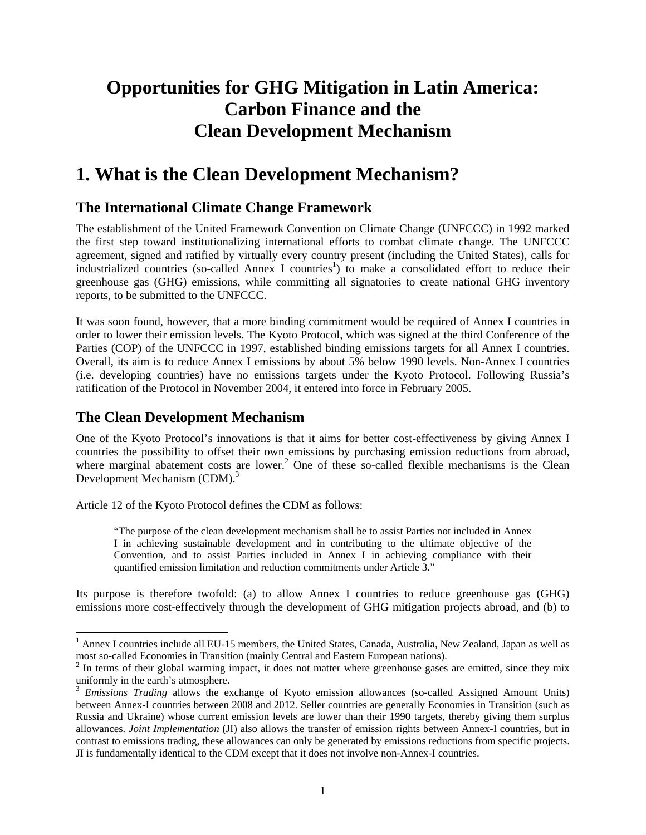## **Opportunities for GHG Mitigation in Latin America: Carbon Finance and the Clean Development Mechanism**

## **1. What is the Clean Development Mechanism?**

## **The International Climate Change Framework**

The establishment of the United Framework Convention on Climate Change (UNFCCC) in 1992 marked the first step toward institutionalizing international efforts to combat climate change. The UNFCCC agreement, signed and ratified by virtually every country present (including the United States), calls for industrialized countries (so-called Annex I countries<sup>1</sup>) to make a consolidated effort to reduce their greenhouse gas (GHG) emissions, while committing all signatories to create national GHG inventory reports, to be submitted to the UNFCCC.

It was soon found, however, that a more binding commitment would be required of Annex I countries in order to lower their emission levels. The Kyoto Protocol, which was signed at the third Conference of the Parties (COP) of the UNFCCC in 1997, established binding emissions targets for all Annex I countries. Overall, its aim is to reduce Annex I emissions by about 5% below 1990 levels. Non-Annex I countries (i.e. developing countries) have no emissions targets under the Kyoto Protocol. Following Russia's ratification of the Protocol in November 2004, it entered into force in February 2005.

### **The Clean Development Mechanism**

l

One of the Kyoto Protocol's innovations is that it aims for better cost-effectiveness by giving Annex I countries the possibility to offset their own emissions by purchasing emission reductions from abroad, where marginal abatement costs are lower.<sup>2</sup> One of these so-called flexible mechanisms is the Clean Development Mechanism (CDM).<sup>3</sup>

Article 12 of the Kyoto Protocol defines the CDM as follows:

"The purpose of the clean development mechanism shall be to assist Parties not included in Annex I in achieving sustainable development and in contributing to the ultimate objective of the Convention, and to assist Parties included in Annex I in achieving compliance with their quantified emission limitation and reduction commitments under Article 3."

Its purpose is therefore twofold: (a) to allow Annex I countries to reduce greenhouse gas (GHG) emissions more cost-effectively through the development of GHG mitigation projects abroad, and (b) to

<sup>&</sup>lt;sup>1</sup> Annex I countries include all EU-15 members, the United States, Canada, Australia, New Zealand, Japan as well as most so-called Economies in Transition (mainly Central and Eastern European nations).

 $2<sup>2</sup>$  In terms of their global warming impact, it does not matter where greenhouse gases are emitted, since they mix uniformly in the earth's atmosphere.

<sup>3</sup> *Emissions Trading* allows the exchange of Kyoto emission allowances (so-called Assigned Amount Units) between Annex-I countries between 2008 and 2012. Seller countries are generally Economies in Transition (such as Russia and Ukraine) whose current emission levels are lower than their 1990 targets, thereby giving them surplus allowances. *Joint Implementation* (JI) also allows the transfer of emission rights between Annex-I countries, but in contrast to emissions trading, these allowances can only be generated by emissions reductions from specific projects. JI is fundamentally identical to the CDM except that it does not involve non-Annex-I countries.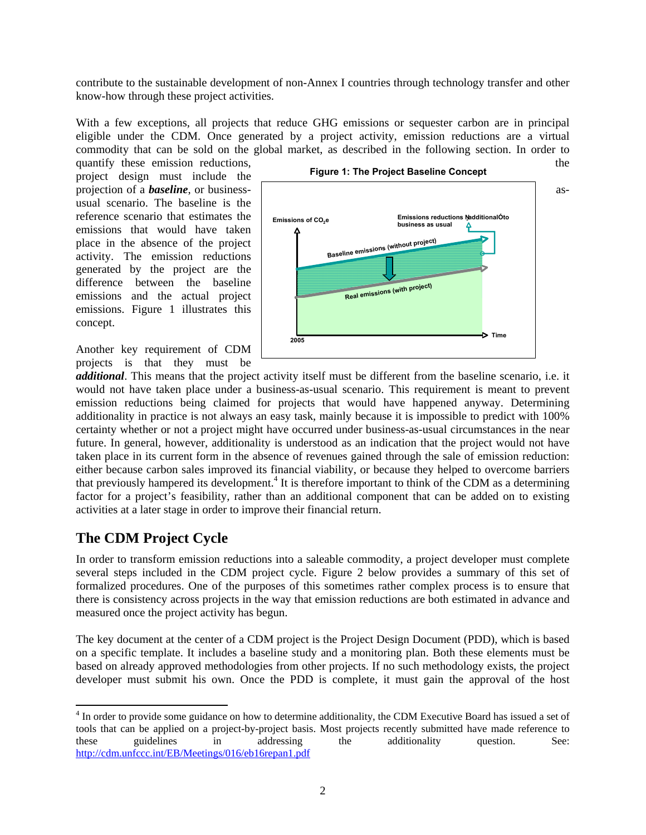contribute to the sustainable development of non-Annex I countries through technology transfer and other know-how through these project activities.

With a few exceptions, all projects that reduce GHG emissions or sequester carbon are in principal eligible under the CDM. Once generated by a project activity, emission reductions are a virtual commodity that can be sold on the global market, as described in the following section. In order to

project design must include the usual scenario. The baseline is the reference scenario that estimates the emissions that would have taken place in the absence of the project activity. The emission reductions generated by the project are the difference between the baseline emissions and the actual project emissions. Figure 1 illustrates this concept.

Another key requirement of CDM projects is that they must be



*additional*. This means that the project activity itself must be different from the baseline scenario, i.e. it would not have taken place under a business-as-usual scenario. This requirement is meant to prevent emission reductions being claimed for projects that would have happened anyway. Determining additionality in practice is not always an easy task, mainly because it is impossible to predict with 100% certainty whether or not a project might have occurred under business-as-usual circumstances in the near future. In general, however, additionality is understood as an indication that the project would not have taken place in its current form in the absence of revenues gained through the sale of emission reduction: either because carbon sales improved its financial viability, or because they helped to overcome barriers that previously hampered its development.<sup>4</sup> It is therefore important to think of the CDM as a determining factor for a project's feasibility, rather than an additional component that can be added on to existing activities at a later stage in order to improve their financial return.

### **The CDM Project Cycle**

l

In order to transform emission reductions into a saleable commodity, a project developer must complete several steps included in the CDM project cycle. Figure 2 below provides a summary of this set of formalized procedures. One of the purposes of this sometimes rather complex process is to ensure that there is consistency across projects in the way that emission reductions are both estimated in advance and measured once the project activity has begun.

The key document at the center of a CDM project is the Project Design Document (PDD), which is based on a specific template. It includes a baseline study and a monitoring plan. Both these elements must be based on already approved methodologies from other projects. If no such methodology exists, the project developer must submit his own. Once the PDD is complete, it must gain the approval of the host

<sup>&</sup>lt;sup>4</sup> In order to provide some guidance on how to determine additionality, the CDM Executive Board has issued a set of tools that can be applied on a project-by-project basis. Most projects recently submitted have made reference to these guidelines in addressing the additionality question. See: http://cdm.unfccc.int/EB/Meetings/016/eb16repan1.pdf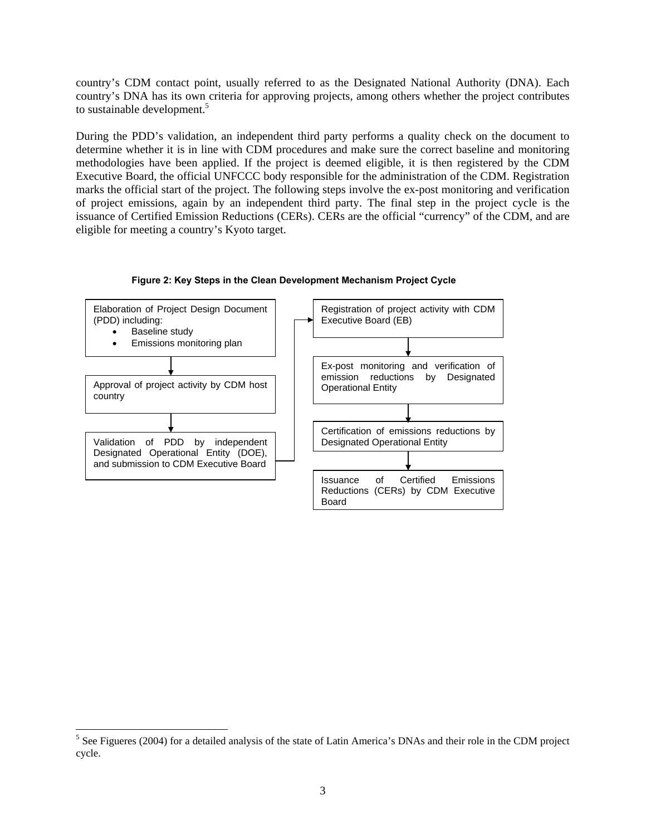country's CDM contact point, usually referred to as the Designated National Authority (DNA). Each country's DNA has its own criteria for approving projects, among others whether the project contributes to sustainable development.<sup>5</sup>

During the PDD's validation, an independent third party performs a quality check on the document to determine whether it is in line with CDM procedures and make sure the correct baseline and monitoring methodologies have been applied. If the project is deemed eligible, it is then registered by the CDM Executive Board, the official UNFCCC body responsible for the administration of the CDM. Registration marks the official start of the project. The following steps involve the ex-post monitoring and verification of project emissions, again by an independent third party. The final step in the project cycle is the issuance of Certified Emission Reductions (CERs). CERs are the official "currency" of the CDM, and are eligible for meeting a country's Kyoto target.



**Figure 2: Key Steps in the Clean Development Mechanism Project Cycle** 

1

<sup>&</sup>lt;sup>5</sup> See Figueres (2004) for a detailed analysis of the state of Latin America's DNAs and their role in the CDM project cycle.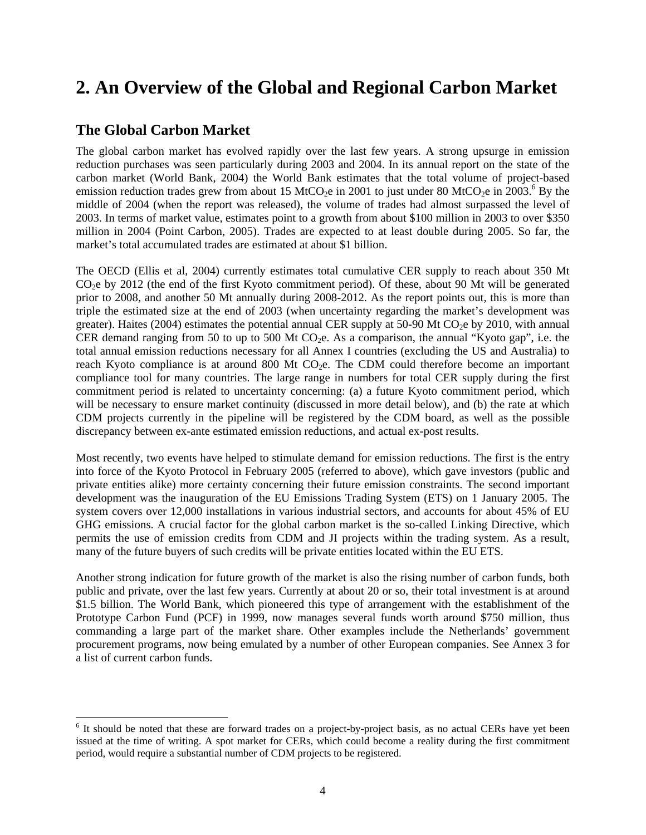## **2. An Overview of the Global and Regional Carbon Market**

## **The Global Carbon Market**

l

The global carbon market has evolved rapidly over the last few years. A strong upsurge in emission reduction purchases was seen particularly during 2003 and 2004. In its annual report on the state of the carbon market (World Bank, 2004) the World Bank estimates that the total volume of project-based emission reduction trades grew from about 15 MtCO<sub>2</sub>e in 2001 to just under 80 MtCO<sub>2</sub>e in 2003.<sup>6</sup> By the middle of 2004 (when the report was released), the volume of trades had almost surpassed the level of 2003. In terms of market value, estimates point to a growth from about \$100 million in 2003 to over \$350 million in 2004 (Point Carbon, 2005). Trades are expected to at least double during 2005. So far, the market's total accumulated trades are estimated at about \$1 billion.

The OECD (Ellis et al, 2004) currently estimates total cumulative CER supply to reach about 350 Mt CO2e by 2012 (the end of the first Kyoto commitment period). Of these, about 90 Mt will be generated prior to 2008, and another 50 Mt annually during 2008-2012. As the report points out, this is more than triple the estimated size at the end of 2003 (when uncertainty regarding the market's development was greater). Haites (2004) estimates the potential annual CER supply at 50-90 Mt CO<sub>2</sub>e by 2010, with annual CER demand ranging from 50 to up to 500 Mt  $CO<sub>2</sub>e$ . As a comparison, the annual "Kyoto gap", i.e. the total annual emission reductions necessary for all Annex I countries (excluding the US and Australia) to reach Kyoto compliance is at around 800 Mt  $CO<sub>2</sub>e$ . The CDM could therefore become an important compliance tool for many countries. The large range in numbers for total CER supply during the first commitment period is related to uncertainty concerning: (a) a future Kyoto commitment period, which will be necessary to ensure market continuity (discussed in more detail below), and (b) the rate at which CDM projects currently in the pipeline will be registered by the CDM board, as well as the possible discrepancy between ex-ante estimated emission reductions, and actual ex-post results.

Most recently, two events have helped to stimulate demand for emission reductions. The first is the entry into force of the Kyoto Protocol in February 2005 (referred to above), which gave investors (public and private entities alike) more certainty concerning their future emission constraints. The second important development was the inauguration of the EU Emissions Trading System (ETS) on 1 January 2005. The system covers over 12,000 installations in various industrial sectors, and accounts for about 45% of EU GHG emissions. A crucial factor for the global carbon market is the so-called Linking Directive, which permits the use of emission credits from CDM and JI projects within the trading system. As a result, many of the future buyers of such credits will be private entities located within the EU ETS.

Another strong indication for future growth of the market is also the rising number of carbon funds, both public and private, over the last few years. Currently at about 20 or so, their total investment is at around \$1.5 billion. The World Bank, which pioneered this type of arrangement with the establishment of the Prototype Carbon Fund (PCF) in 1999, now manages several funds worth around \$750 million, thus commanding a large part of the market share. Other examples include the Netherlands' government procurement programs, now being emulated by a number of other European companies. See Annex 3 for a list of current carbon funds.

<sup>&</sup>lt;sup>6</sup> It should be noted that these are forward trades on a project-by-project basis, as no actual CERs have yet been issued at the time of writing. A spot market for CERs, which could become a reality during the first commitment period, would require a substantial number of CDM projects to be registered.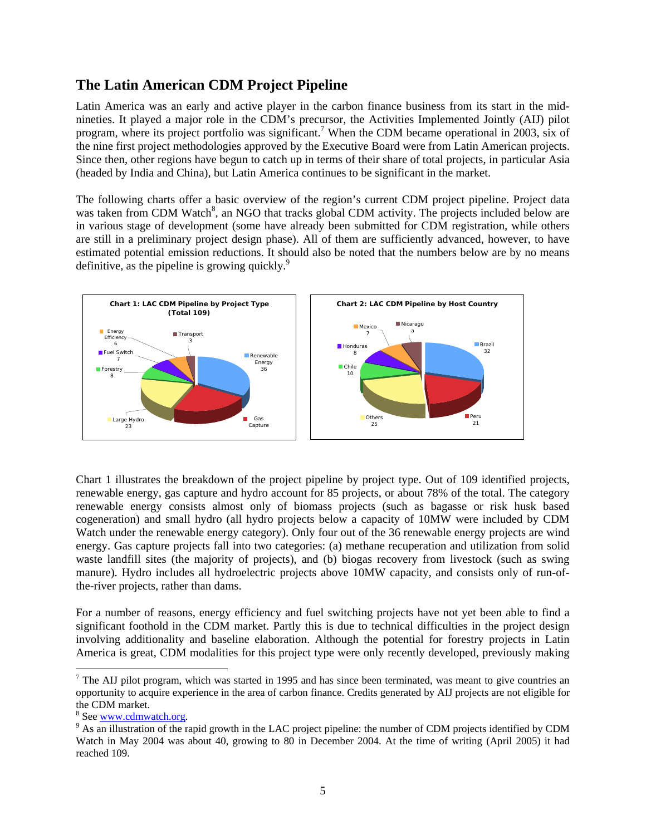## **The Latin American CDM Project Pipeline**

Latin America was an early and active player in the carbon finance business from its start in the midnineties. It played a major role in the CDM's precursor, the Activities Implemented Jointly (AIJ) pilot program, where its project portfolio was significant.<sup>7</sup> When the CDM became operational in 2003, six of the nine first project methodologies approved by the Executive Board were from Latin American projects. Since then, other regions have begun to catch up in terms of their share of total projects, in particular Asia (headed by India and China), but Latin America continues to be significant in the market.

The following charts offer a basic overview of the region's current CDM project pipeline. Project data was taken from CDM Watch<sup>8</sup>, an NGO that tracks global CDM activity. The projects included below are in various stage of development (some have already been submitted for CDM registration, while others are still in a preliminary project design phase). All of them are sufficiently advanced, however, to have estimated potential emission reductions. It should also be noted that the numbers below are by no means definitive, as the pipeline is growing quickly. $\degree$ 



Chart 1 illustrates the breakdown of the project pipeline by project type. Out of 109 identified projects, renewable energy, gas capture and hydro account for 85 projects, or about 78% of the total. The category renewable energy consists almost only of biomass projects (such as bagasse or risk husk based cogeneration) and small hydro (all hydro projects below a capacity of 10MW were included by CDM Watch under the renewable energy category). Only four out of the 36 renewable energy projects are wind energy. Gas capture projects fall into two categories: (a) methane recuperation and utilization from solid waste landfill sites (the majority of projects), and (b) biogas recovery from livestock (such as swing manure). Hydro includes all hydroelectric projects above 10MW capacity, and consists only of run-ofthe-river projects, rather than dams.

For a number of reasons, energy efficiency and fuel switching projects have not yet been able to find a significant foothold in the CDM market. Partly this is due to technical difficulties in the project design involving additionality and baseline elaboration. Although the potential for forestry projects in Latin America is great, CDM modalities for this project type were only recently developed, previously making

l

<sup>&</sup>lt;sup>7</sup> The AIJ pilot program, which was started in 1995 and has since been terminated, was meant to give countries an opportunity to acquire experience in the area of carbon finance. Credits generated by AIJ projects are not eligible for the CDM market.

<sup>&</sup>lt;sup>8</sup> See www.cdmwatch.org.

<sup>&</sup>lt;sup>8</sup> See <u>www.cdmwatch.org</u>.<br><sup>9</sup> As an illustration of the rapid growth in the LAC project pipeline: the number of CDM projects identified by CDM Watch in May 2004 was about 40, growing to 80 in December 2004. At the time of writing (April 2005) it had reached 109.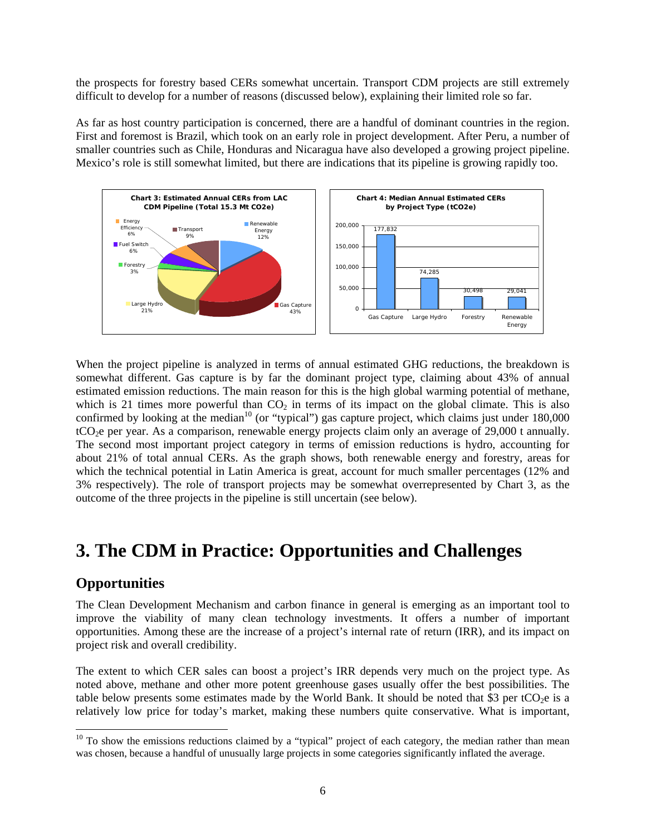the prospects for forestry based CERs somewhat uncertain. Transport CDM projects are still extremely difficult to develop for a number of reasons (discussed below), explaining their limited role so far.

As far as host country participation is concerned, there are a handful of dominant countries in the region. First and foremost is Brazil, which took on an early role in project development. After Peru, a number of smaller countries such as Chile, Honduras and Nicaragua have also developed a growing project pipeline. Mexico's role is still somewhat limited, but there are indications that its pipeline is growing rapidly too.



When the project pipeline is analyzed in terms of annual estimated GHG reductions, the breakdown is somewhat different. Gas capture is by far the dominant project type, claiming about 43% of annual estimated emission reductions. The main reason for this is the high global warming potential of methane, which is 21 times more powerful than  $CO<sub>2</sub>$  in terms of its impact on the global climate. This is also confirmed by looking at the median<sup>10</sup> (or "typical") gas capture project, which claims just under  $180,000$ tCO<sub>2</sub>e per year. As a comparison, renewable energy projects claim only an average of 29,000 t annually. The second most important project category in terms of emission reductions is hydro, accounting for about 21% of total annual CERs. As the graph shows, both renewable energy and forestry, areas for which the technical potential in Latin America is great, account for much smaller percentages (12% and 3% respectively). The role of transport projects may be somewhat overrepresented by Chart 3, as the outcome of the three projects in the pipeline is still uncertain (see below).

## **3. The CDM in Practice: Opportunities and Challenges**

### **Opportunities**

1

The Clean Development Mechanism and carbon finance in general is emerging as an important tool to improve the viability of many clean technology investments. It offers a number of important opportunities. Among these are the increase of a project's internal rate of return (IRR), and its impact on project risk and overall credibility.

The extent to which CER sales can boost a project's IRR depends very much on the project type. As noted above, methane and other more potent greenhouse gases usually offer the best possibilities. The table below presents some estimates made by the World Bank. It should be noted that \$3 per tCO<sub>2</sub>e is a relatively low price for today's market, making these numbers quite conservative. What is important,

 $10$  To show the emissions reductions claimed by a "typical" project of each category, the median rather than mean was chosen, because a handful of unusually large projects in some categories significantly inflated the average.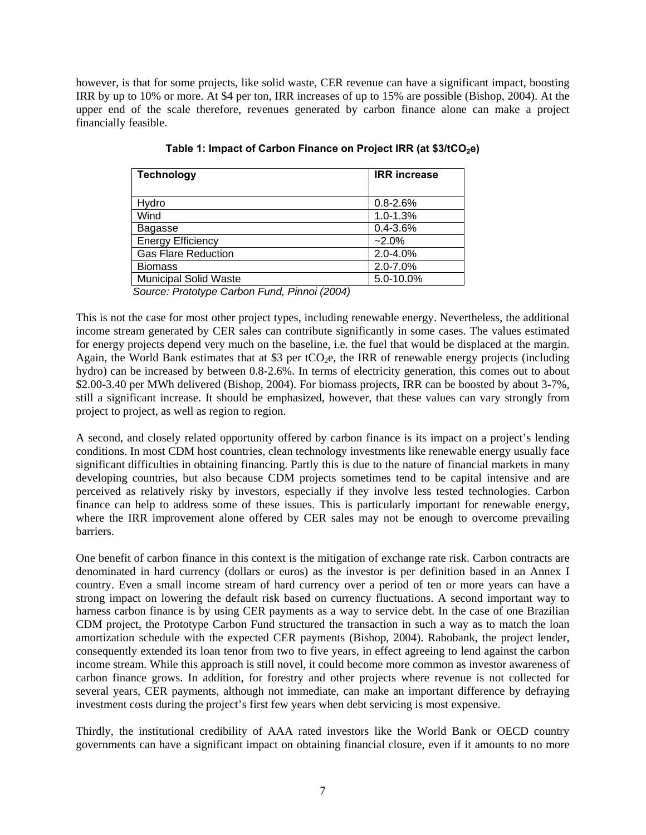however, is that for some projects, like solid waste, CER revenue can have a significant impact, boosting IRR by up to 10% or more. At \$4 per ton, IRR increases of up to 15% are possible (Bishop, 2004). At the upper end of the scale therefore, revenues generated by carbon finance alone can make a project financially feasible.

| <b>Technology</b>            | <b>IRR</b> increase |
|------------------------------|---------------------|
|                              |                     |
| Hydro                        | $0.8 - 2.6%$        |
| Wind                         | $1.0 - 1.3%$        |
| <b>Bagasse</b>               | $0.4 - 3.6%$        |
| <b>Energy Efficiency</b>     | $-2.0\%$            |
| <b>Gas Flare Reduction</b>   | $2.0 - 4.0%$        |
| <b>Biomass</b>               | 2.0-7.0%            |
| <b>Municipal Solid Waste</b> | 5.0-10.0%           |

Table 1: Impact of Carbon Finance on Project IRR (at \$3/tCO<sub>2</sub>e)

*Source: Prototype Carbon Fund, Pinnoi (2004)* 

This is not the case for most other project types, including renewable energy. Nevertheless, the additional income stream generated by CER sales can contribute significantly in some cases. The values estimated for energy projects depend very much on the baseline, i.e. the fuel that would be displaced at the margin. Again, the World Bank estimates that at \$3 per tCO<sub>2</sub>e, the IRR of renewable energy projects (including hydro) can be increased by between 0.8-2.6%. In terms of electricity generation, this comes out to about \$2.00-3.40 per MWh delivered (Bishop, 2004). For biomass projects, IRR can be boosted by about 3-7%, still a significant increase. It should be emphasized, however, that these values can vary strongly from project to project, as well as region to region.

A second, and closely related opportunity offered by carbon finance is its impact on a project's lending conditions. In most CDM host countries, clean technology investments like renewable energy usually face significant difficulties in obtaining financing. Partly this is due to the nature of financial markets in many developing countries, but also because CDM projects sometimes tend to be capital intensive and are perceived as relatively risky by investors, especially if they involve less tested technologies. Carbon finance can help to address some of these issues. This is particularly important for renewable energy, where the IRR improvement alone offered by CER sales may not be enough to overcome prevailing barriers.

One benefit of carbon finance in this context is the mitigation of exchange rate risk. Carbon contracts are denominated in hard currency (dollars or euros) as the investor is per definition based in an Annex I country. Even a small income stream of hard currency over a period of ten or more years can have a strong impact on lowering the default risk based on currency fluctuations. A second important way to harness carbon finance is by using CER payments as a way to service debt. In the case of one Brazilian CDM project, the Prototype Carbon Fund structured the transaction in such a way as to match the loan amortization schedule with the expected CER payments (Bishop, 2004). Rabobank, the project lender, consequently extended its loan tenor from two to five years, in effect agreeing to lend against the carbon income stream. While this approach is still novel, it could become more common as investor awareness of carbon finance grows. In addition, for forestry and other projects where revenue is not collected for several years, CER payments, although not immediate, can make an important difference by defraying investment costs during the project's first few years when debt servicing is most expensive.

Thirdly, the institutional credibility of AAA rated investors like the World Bank or OECD country governments can have a significant impact on obtaining financial closure, even if it amounts to no more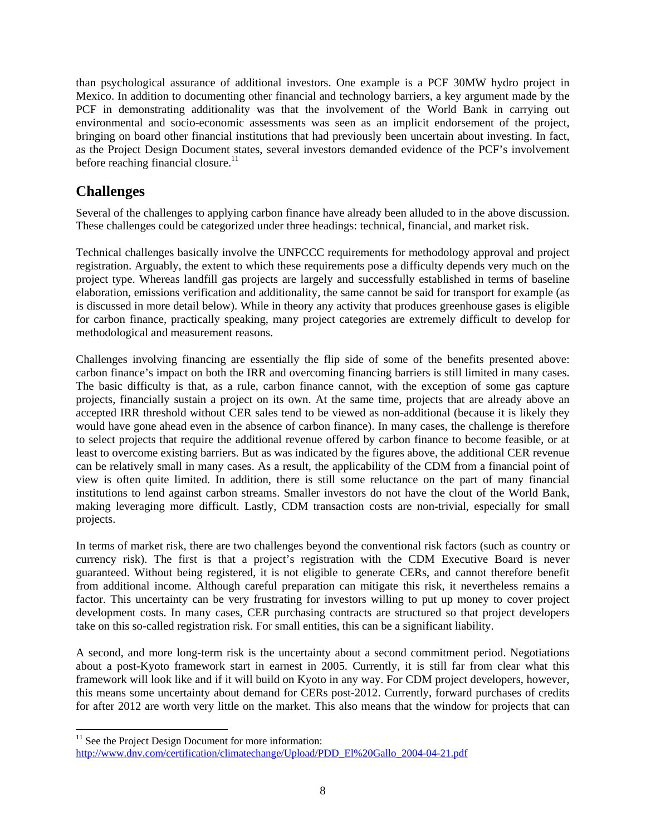than psychological assurance of additional investors. One example is a PCF 30MW hydro project in Mexico. In addition to documenting other financial and technology barriers, a key argument made by the PCF in demonstrating additionality was that the involvement of the World Bank in carrying out environmental and socio-economic assessments was seen as an implicit endorsement of the project, bringing on board other financial institutions that had previously been uncertain about investing. In fact, as the Project Design Document states, several investors demanded evidence of the PCF's involvement before reaching financial closure. $^{11}$ 

## **Challenges**

1

Several of the challenges to applying carbon finance have already been alluded to in the above discussion. These challenges could be categorized under three headings: technical, financial, and market risk.

Technical challenges basically involve the UNFCCC requirements for methodology approval and project registration. Arguably, the extent to which these requirements pose a difficulty depends very much on the project type. Whereas landfill gas projects are largely and successfully established in terms of baseline elaboration, emissions verification and additionality, the same cannot be said for transport for example (as is discussed in more detail below). While in theory any activity that produces greenhouse gases is eligible for carbon finance, practically speaking, many project categories are extremely difficult to develop for methodological and measurement reasons.

Challenges involving financing are essentially the flip side of some of the benefits presented above: carbon finance's impact on both the IRR and overcoming financing barriers is still limited in many cases. The basic difficulty is that, as a rule, carbon finance cannot, with the exception of some gas capture projects, financially sustain a project on its own. At the same time, projects that are already above an accepted IRR threshold without CER sales tend to be viewed as non-additional (because it is likely they would have gone ahead even in the absence of carbon finance). In many cases, the challenge is therefore to select projects that require the additional revenue offered by carbon finance to become feasible, or at least to overcome existing barriers. But as was indicated by the figures above, the additional CER revenue can be relatively small in many cases. As a result, the applicability of the CDM from a financial point of view is often quite limited. In addition, there is still some reluctance on the part of many financial institutions to lend against carbon streams. Smaller investors do not have the clout of the World Bank, making leveraging more difficult. Lastly, CDM transaction costs are non-trivial, especially for small projects.

In terms of market risk, there are two challenges beyond the conventional risk factors (such as country or currency risk). The first is that a project's registration with the CDM Executive Board is never guaranteed. Without being registered, it is not eligible to generate CERs, and cannot therefore benefit from additional income. Although careful preparation can mitigate this risk, it nevertheless remains a factor. This uncertainty can be very frustrating for investors willing to put up money to cover project development costs. In many cases, CER purchasing contracts are structured so that project developers take on this so-called registration risk. For small entities, this can be a significant liability.

A second, and more long-term risk is the uncertainty about a second commitment period. Negotiations about a post-Kyoto framework start in earnest in 2005. Currently, it is still far from clear what this framework will look like and if it will build on Kyoto in any way. For CDM project developers, however, this means some uncertainty about demand for CERs post-2012. Currently, forward purchases of credits for after 2012 are worth very little on the market. This also means that the window for projects that can

 $11$  See the Project Design Document for more information: http://www.dnv.com/certification/climatechange/Upload/PDD\_El%20Gallo\_2004-04-21.pdf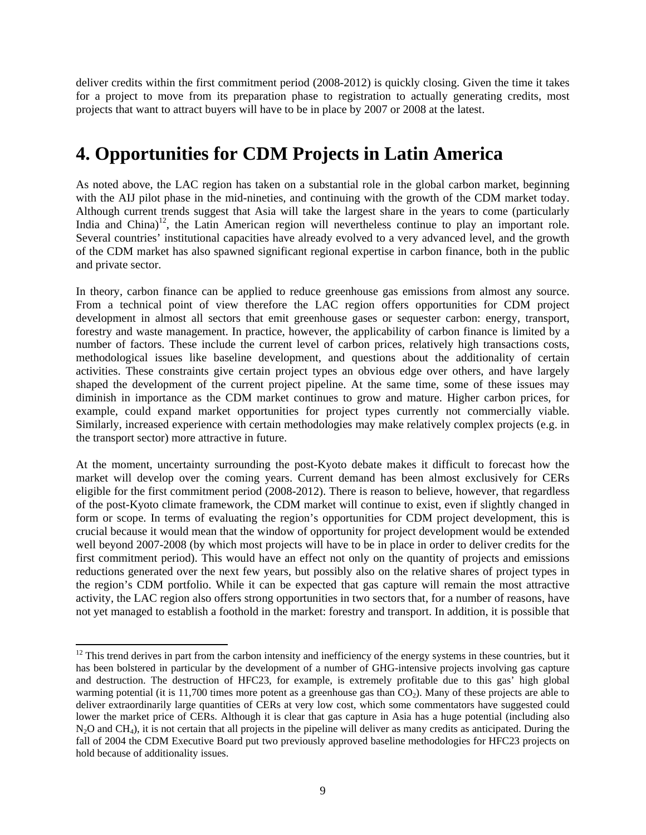deliver credits within the first commitment period (2008-2012) is quickly closing. Given the time it takes for a project to move from its preparation phase to registration to actually generating credits, most projects that want to attract buyers will have to be in place by 2007 or 2008 at the latest.

## **4. Opportunities for CDM Projects in Latin America**

As noted above, the LAC region has taken on a substantial role in the global carbon market, beginning with the AIJ pilot phase in the mid-nineties, and continuing with the growth of the CDM market today. Although current trends suggest that Asia will take the largest share in the years to come (particularly India and China)<sup>12</sup>, the Latin American region will nevertheless continue to play an important role. Several countries' institutional capacities have already evolved to a very advanced level, and the growth of the CDM market has also spawned significant regional expertise in carbon finance, both in the public and private sector.

In theory, carbon finance can be applied to reduce greenhouse gas emissions from almost any source. From a technical point of view therefore the LAC region offers opportunities for CDM project development in almost all sectors that emit greenhouse gases or sequester carbon: energy, transport, forestry and waste management. In practice, however, the applicability of carbon finance is limited by a number of factors. These include the current level of carbon prices, relatively high transactions costs, methodological issues like baseline development, and questions about the additionality of certain activities. These constraints give certain project types an obvious edge over others, and have largely shaped the development of the current project pipeline. At the same time, some of these issues may diminish in importance as the CDM market continues to grow and mature. Higher carbon prices, for example, could expand market opportunities for project types currently not commercially viable. Similarly, increased experience with certain methodologies may make relatively complex projects (e.g. in the transport sector) more attractive in future.

At the moment, uncertainty surrounding the post-Kyoto debate makes it difficult to forecast how the market will develop over the coming years. Current demand has been almost exclusively for CERs eligible for the first commitment period (2008-2012). There is reason to believe, however, that regardless of the post-Kyoto climate framework, the CDM market will continue to exist, even if slightly changed in form or scope. In terms of evaluating the region's opportunities for CDM project development, this is crucial because it would mean that the window of opportunity for project development would be extended well beyond 2007-2008 (by which most projects will have to be in place in order to deliver credits for the first commitment period). This would have an effect not only on the quantity of projects and emissions reductions generated over the next few years, but possibly also on the relative shares of project types in the region's CDM portfolio. While it can be expected that gas capture will remain the most attractive activity, the LAC region also offers strong opportunities in two sectors that, for a number of reasons, have not yet managed to establish a foothold in the market: forestry and transport. In addition, it is possible that

l

 $12$  This trend derives in part from the carbon intensity and inefficiency of the energy systems in these countries, but it has been bolstered in particular by the development of a number of GHG-intensive projects involving gas capture and destruction. The destruction of HFC23, for example, is extremely profitable due to this gas' high global warming potential (it is 11,700 times more potent as a greenhouse gas than  $CO<sub>2</sub>$ ). Many of these projects are able to deliver extraordinarily large quantities of CERs at very low cost, which some commentators have suggested could lower the market price of CERs. Although it is clear that gas capture in Asia has a huge potential (including also  $N<sub>2</sub>O$  and CH<sub>4</sub>), it is not certain that all projects in the pipeline will deliver as many credits as anticipated. During the fall of 2004 the CDM Executive Board put two previously approved baseline methodologies for HFC23 projects on hold because of additionality issues.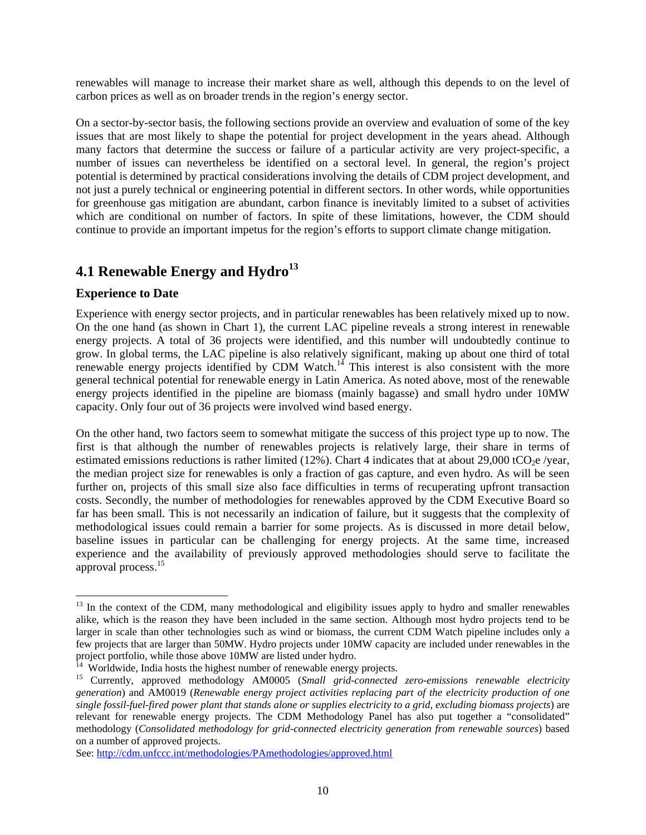renewables will manage to increase their market share as well, although this depends to on the level of carbon prices as well as on broader trends in the region's energy sector.

On a sector-by-sector basis, the following sections provide an overview and evaluation of some of the key issues that are most likely to shape the potential for project development in the years ahead. Although many factors that determine the success or failure of a particular activity are very project-specific, a number of issues can nevertheless be identified on a sectoral level. In general, the region's project potential is determined by practical considerations involving the details of CDM project development, and not just a purely technical or engineering potential in different sectors. In other words, while opportunities for greenhouse gas mitigation are abundant, carbon finance is inevitably limited to a subset of activities which are conditional on number of factors. In spite of these limitations, however, the CDM should continue to provide an important impetus for the region's efforts to support climate change mitigation.

## **4.1 Renewable Energy and Hydro**<sup>13</sup>

#### **Experience to Date**

l

Experience with energy sector projects, and in particular renewables has been relatively mixed up to now. On the one hand (as shown in Chart 1), the current LAC pipeline reveals a strong interest in renewable energy projects. A total of 36 projects were identified, and this number will undoubtedly continue to grow. In global terms, the LAC pipeline is also relatively significant, making up about one third of total renewable energy projects identified by CDM Watch.<sup>14</sup> This interest is also consistent with the more general technical potential for renewable energy in Latin America. As noted above, most of the renewable energy projects identified in the pipeline are biomass (mainly bagasse) and small hydro under 10MW capacity. Only four out of 36 projects were involved wind based energy.

On the other hand, two factors seem to somewhat mitigate the success of this project type up to now. The first is that although the number of renewables projects is relatively large, their share in terms of estimated emissions reductions is rather limited (12%). Chart 4 indicates that at about 29,000 tCO<sub>2</sub>e /year, the median project size for renewables is only a fraction of gas capture, and even hydro. As will be seen further on, projects of this small size also face difficulties in terms of recuperating upfront transaction costs. Secondly, the number of methodologies for renewables approved by the CDM Executive Board so far has been small. This is not necessarily an indication of failure, but it suggests that the complexity of methodological issues could remain a barrier for some projects. As is discussed in more detail below, baseline issues in particular can be challenging for energy projects. At the same time, increased experience and the availability of previously approved methodologies should serve to facilitate the approval process.<sup>15</sup>

<sup>&</sup>lt;sup>13</sup> In the context of the CDM, many methodological and eligibility issues apply to hydro and smaller renewables alike, which is the reason they have been included in the same section. Although most hydro projects tend to be larger in scale than other technologies such as wind or biomass, the current CDM Watch pipeline includes only a few projects that are larger than 50MW. Hydro projects under 10MW capacity are included under renewables in the project portfolio, while those above 10MW are listed under hydro.

 $\frac{14}{14}$  Worldwide, India hosts the highest number of renewable energy projects.

<sup>15</sup> Currently, approved methodology AM0005 (*Small grid-connected zero-emissions renewable electricity generation*) and AM0019 (*Renewable energy project activities replacing part of the electricity production of one single fossil-fuel-fired power plant that stands alone or supplies electricity to a grid, excluding biomass projects*) are relevant for renewable energy projects. The CDM Methodology Panel has also put together a "consolidated" methodology (*Consolidated methodology for grid-connected electricity generation from renewable sources*) based on a number of approved projects.

See: http://cdm.unfccc.int/methodologies/PAmethodologies/approved.html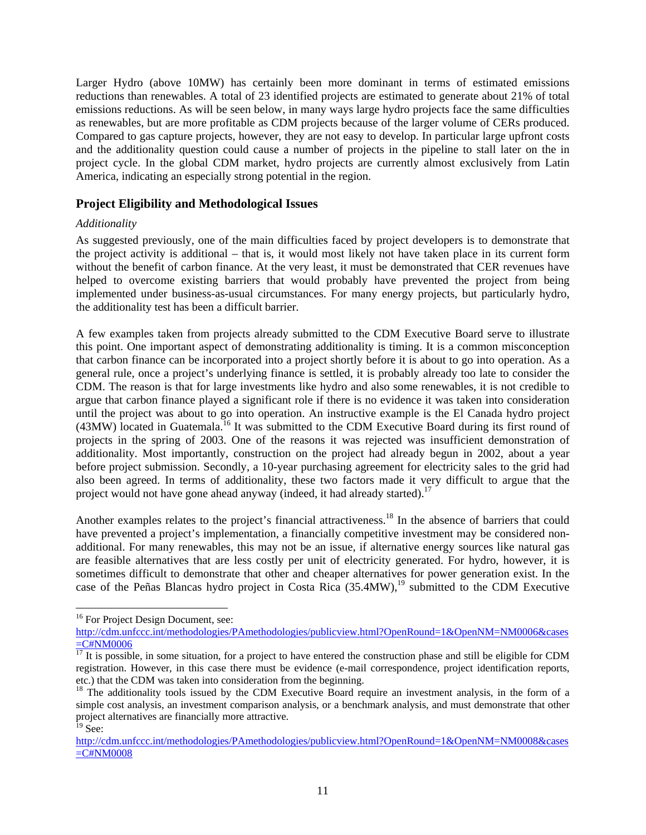Larger Hydro (above 10MW) has certainly been more dominant in terms of estimated emissions reductions than renewables. A total of 23 identified projects are estimated to generate about 21% of total emissions reductions. As will be seen below, in many ways large hydro projects face the same difficulties as renewables, but are more profitable as CDM projects because of the larger volume of CERs produced. Compared to gas capture projects, however, they are not easy to develop. In particular large upfront costs and the additionality question could cause a number of projects in the pipeline to stall later on the in project cycle. In the global CDM market, hydro projects are currently almost exclusively from Latin America, indicating an especially strong potential in the region.

#### **Project Eligibility and Methodological Issues**

#### *Additionality*

As suggested previously, one of the main difficulties faced by project developers is to demonstrate that the project activity is additional – that is, it would most likely not have taken place in its current form without the benefit of carbon finance. At the very least, it must be demonstrated that CER revenues have helped to overcome existing barriers that would probably have prevented the project from being implemented under business-as-usual circumstances. For many energy projects, but particularly hydro, the additionality test has been a difficult barrier.

A few examples taken from projects already submitted to the CDM Executive Board serve to illustrate this point. One important aspect of demonstrating additionality is timing. It is a common misconception that carbon finance can be incorporated into a project shortly before it is about to go into operation. As a general rule, once a project's underlying finance is settled, it is probably already too late to consider the CDM. The reason is that for large investments like hydro and also some renewables, it is not credible to argue that carbon finance played a significant role if there is no evidence it was taken into consideration until the project was about to go into operation. An instructive example is the El Canada hydro project (43MW) located in Guatemala.16 It was submitted to the CDM Executive Board during its first round of projects in the spring of 2003. One of the reasons it was rejected was insufficient demonstration of additionality. Most importantly, construction on the project had already begun in 2002, about a year before project submission. Secondly, a 10-year purchasing agreement for electricity sales to the grid had also been agreed. In terms of additionality, these two factors made it very difficult to argue that the project would not have gone ahead anyway (indeed, it had already started).<sup>17</sup>

Another examples relates to the project's financial attractiveness.<sup>18</sup> In the absence of barriers that could have prevented a project's implementation, a financially competitive investment may be considered nonadditional. For many renewables, this may not be an issue, if alternative energy sources like natural gas are feasible alternatives that are less costly per unit of electricity generated. For hydro, however, it is sometimes difficult to demonstrate that other and cheaper alternatives for power generation exist. In the case of the Peñas Blancas hydro project in Costa Rica  $(35.4MW)$ ,<sup>19</sup> submitted to the CDM Executive

1

<sup>&</sup>lt;sup>16</sup> For Project Design Document, see:

http://cdm.unfccc.int/methodologies/PAmethodologies/publicview.html?OpenRound=1&OpenNM=NM0006&cases  $\frac{\overline{C} = C \# NM0006}{\frac{17}{17}}$  It is possible, in some situation, for a project to have entered the construction phase and still be eligible for CDM

registration. However, in this case there must be evidence (e-mail correspondence, project identification reports, etc.) that the CDM was taken into consideration from the beginning.

<sup>&</sup>lt;sup>18</sup> The additionality tools issued by the CDM Executive Board require an investment analysis, in the form of a simple cost analysis, an investment comparison analysis, or a benchmark analysis, and must demonstrate that other project alternatives are financially more attractive.  $19$  See:

http://cdm.unfccc.int/methodologies/PAmethodologies/publicview.html?OpenRound=1&OpenNM=NM0008&cases =C#NM0008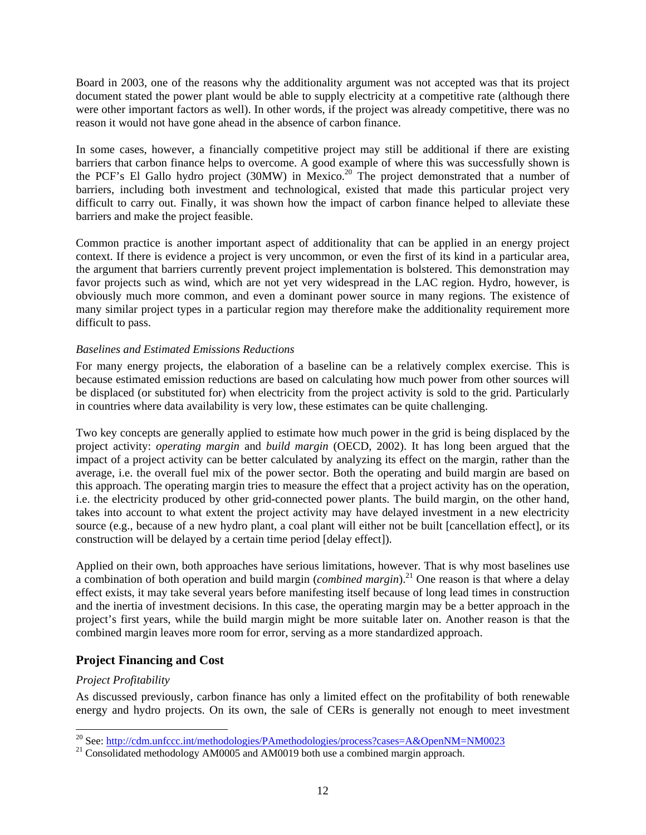Board in 2003, one of the reasons why the additionality argument was not accepted was that its project document stated the power plant would be able to supply electricity at a competitive rate (although there were other important factors as well). In other words, if the project was already competitive, there was no reason it would not have gone ahead in the absence of carbon finance.

In some cases, however, a financially competitive project may still be additional if there are existing barriers that carbon finance helps to overcome. A good example of where this was successfully shown is the PCF's El Gallo hydro project (30MW) in Mexico.<sup>20</sup> The project demonstrated that a number of barriers, including both investment and technological, existed that made this particular project very difficult to carry out. Finally, it was shown how the impact of carbon finance helped to alleviate these barriers and make the project feasible.

Common practice is another important aspect of additionality that can be applied in an energy project context. If there is evidence a project is very uncommon, or even the first of its kind in a particular area, the argument that barriers currently prevent project implementation is bolstered. This demonstration may favor projects such as wind, which are not yet very widespread in the LAC region. Hydro, however, is obviously much more common, and even a dominant power source in many regions. The existence of many similar project types in a particular region may therefore make the additionality requirement more difficult to pass.

#### *Baselines and Estimated Emissions Reductions*

For many energy projects, the elaboration of a baseline can be a relatively complex exercise. This is because estimated emission reductions are based on calculating how much power from other sources will be displaced (or substituted for) when electricity from the project activity is sold to the grid. Particularly in countries where data availability is very low, these estimates can be quite challenging.

Two key concepts are generally applied to estimate how much power in the grid is being displaced by the project activity: *operating margin* and *build margin* (OECD, 2002). It has long been argued that the impact of a project activity can be better calculated by analyzing its effect on the margin, rather than the average, i.e. the overall fuel mix of the power sector. Both the operating and build margin are based on this approach. The operating margin tries to measure the effect that a project activity has on the operation, i.e. the electricity produced by other grid-connected power plants. The build margin, on the other hand, takes into account to what extent the project activity may have delayed investment in a new electricity source (e.g., because of a new hydro plant, a coal plant will either not be built [cancellation effect], or its construction will be delayed by a certain time period [delay effect]).

Applied on their own, both approaches have serious limitations, however. That is why most baselines use a combination of both operation and build margin (*combined margin*).21 One reason is that where a delay effect exists, it may take several years before manifesting itself because of long lead times in construction and the inertia of investment decisions. In this case, the operating margin may be a better approach in the project's first years, while the build margin might be more suitable later on. Another reason is that the combined margin leaves more room for error, serving as a more standardized approach.

### **Project Financing and Cost**

#### *Project Profitability*

As discussed previously, carbon finance has only a limited effect on the profitability of both renewable energy and hydro projects. On its own, the sale of CERs is generally not enough to meet investment

<sup>&</sup>lt;sup>20</sup> See: http://cdm.unfccc.int/methodologies/PAmethodologies/process?cases=A&OpenNM=NM0023

 $21$  Consolidated methodology AM0005 and AM0019 both use a combined margin approach.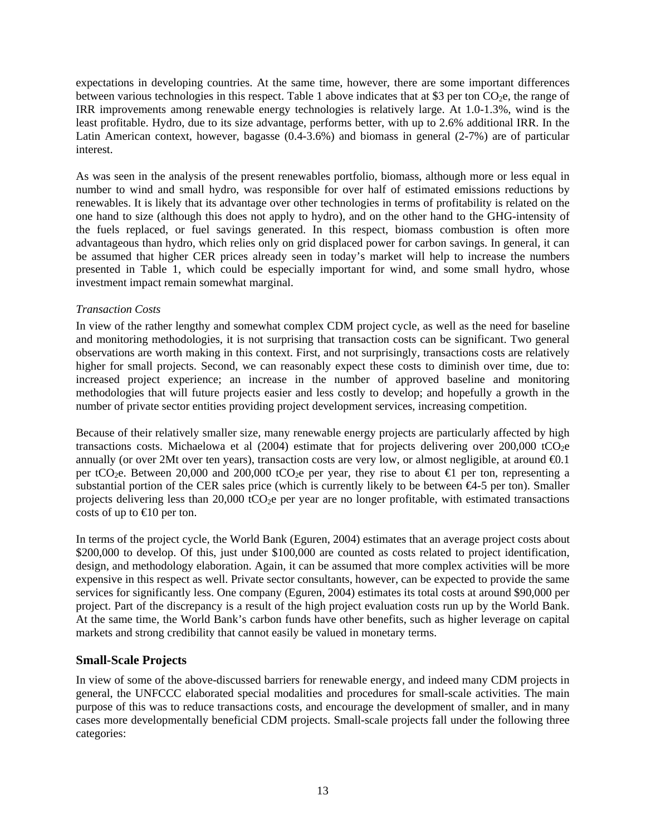expectations in developing countries. At the same time, however, there are some important differences between various technologies in this respect. Table 1 above indicates that at \$3 per ton  $CO<sub>2</sub>e$ , the range of IRR improvements among renewable energy technologies is relatively large. At 1.0-1.3%, wind is the least profitable. Hydro, due to its size advantage, performs better, with up to 2.6% additional IRR. In the Latin American context, however, bagasse (0.4-3.6%) and biomass in general (2-7%) are of particular interest.

As was seen in the analysis of the present renewables portfolio, biomass, although more or less equal in number to wind and small hydro, was responsible for over half of estimated emissions reductions by renewables. It is likely that its advantage over other technologies in terms of profitability is related on the one hand to size (although this does not apply to hydro), and on the other hand to the GHG-intensity of the fuels replaced, or fuel savings generated. In this respect, biomass combustion is often more advantageous than hydro, which relies only on grid displaced power for carbon savings. In general, it can be assumed that higher CER prices already seen in today's market will help to increase the numbers presented in Table 1, which could be especially important for wind, and some small hydro, whose investment impact remain somewhat marginal.

#### *Transaction Costs*

In view of the rather lengthy and somewhat complex CDM project cycle, as well as the need for baseline and monitoring methodologies, it is not surprising that transaction costs can be significant. Two general observations are worth making in this context. First, and not surprisingly, transactions costs are relatively higher for small projects. Second, we can reasonably expect these costs to diminish over time, due to: increased project experience; an increase in the number of approved baseline and monitoring methodologies that will future projects easier and less costly to develop; and hopefully a growth in the number of private sector entities providing project development services, increasing competition.

Because of their relatively smaller size, many renewable energy projects are particularly affected by high transactions costs. Michaelowa et al  $(2004)$  estimate that for projects delivering over  $200,000$  tCO<sub>2</sub>e annually (or over 2Mt over ten years), transaction costs are very low, or almost negligible, at around  $\Theta$ .1 per tCO<sub>2</sub>e. Between 20,000 and 200,000 tCO<sub>2</sub>e per year, they rise to about  $\bigoplus$  per ton, representing a substantial portion of the CER sales price (which is currently likely to be between  $\epsilon$ 4-5 per ton). Smaller projects delivering less than 20,000 tCO<sub>2</sub>e per year are no longer profitable, with estimated transactions costs of up to  $\bigoplus$  0 per ton.

In terms of the project cycle, the World Bank (Eguren, 2004) estimates that an average project costs about \$200,000 to develop. Of this, just under \$100,000 are counted as costs related to project identification, design, and methodology elaboration. Again, it can be assumed that more complex activities will be more expensive in this respect as well. Private sector consultants, however, can be expected to provide the same services for significantly less. One company (Eguren, 2004) estimates its total costs at around \$90,000 per project. Part of the discrepancy is a result of the high project evaluation costs run up by the World Bank. At the same time, the World Bank's carbon funds have other benefits, such as higher leverage on capital markets and strong credibility that cannot easily be valued in monetary terms.

#### **Small-Scale Projects**

In view of some of the above-discussed barriers for renewable energy, and indeed many CDM projects in general, the UNFCCC elaborated special modalities and procedures for small-scale activities. The main purpose of this was to reduce transactions costs, and encourage the development of smaller, and in many cases more developmentally beneficial CDM projects. Small-scale projects fall under the following three categories: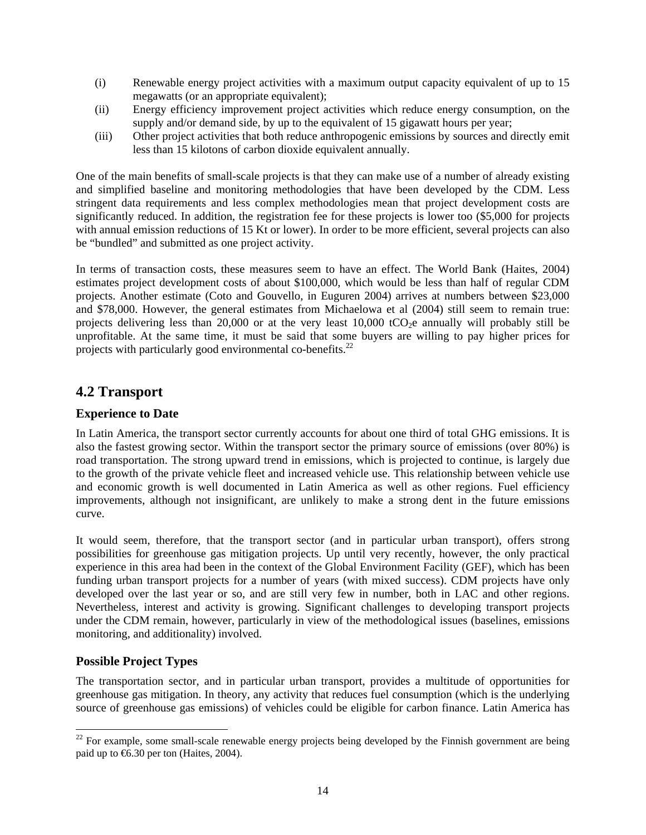- (i) Renewable energy project activities with a maximum output capacity equivalent of up to 15 megawatts (or an appropriate equivalent);
- (ii) Energy efficiency improvement project activities which reduce energy consumption, on the supply and/or demand side, by up to the equivalent of 15 gigawatt hours per year;
- (iii) Other project activities that both reduce anthropogenic emissions by sources and directly emit less than 15 kilotons of carbon dioxide equivalent annually.

One of the main benefits of small-scale projects is that they can make use of a number of already existing and simplified baseline and monitoring methodologies that have been developed by the CDM. Less stringent data requirements and less complex methodologies mean that project development costs are significantly reduced. In addition, the registration fee for these projects is lower too (\$5,000 for projects with annual emission reductions of 15 Kt or lower). In order to be more efficient, several projects can also be "bundled" and submitted as one project activity.

In terms of transaction costs, these measures seem to have an effect. The World Bank (Haites, 2004) estimates project development costs of about \$100,000, which would be less than half of regular CDM projects. Another estimate (Coto and Gouvello, in Euguren 2004) arrives at numbers between \$23,000 and \$78,000. However, the general estimates from Michaelowa et al (2004) still seem to remain true: projects delivering less than 20,000 or at the very least  $10,000$  tCO<sub>2</sub>e annually will probably still be unprofitable. At the same time, it must be said that some buyers are willing to pay higher prices for projects with particularly good environmental co-benefits. $^{22}$ 

### **4.2 Transport**

#### **Experience to Date**

In Latin America, the transport sector currently accounts for about one third of total GHG emissions. It is also the fastest growing sector. Within the transport sector the primary source of emissions (over 80%) is road transportation. The strong upward trend in emissions, which is projected to continue, is largely due to the growth of the private vehicle fleet and increased vehicle use. This relationship between vehicle use and economic growth is well documented in Latin America as well as other regions. Fuel efficiency improvements, although not insignificant, are unlikely to make a strong dent in the future emissions curve.

It would seem, therefore, that the transport sector (and in particular urban transport), offers strong possibilities for greenhouse gas mitigation projects. Up until very recently, however, the only practical experience in this area had been in the context of the Global Environment Facility (GEF), which has been funding urban transport projects for a number of years (with mixed success). CDM projects have only developed over the last year or so, and are still very few in number, both in LAC and other regions. Nevertheless, interest and activity is growing. Significant challenges to developing transport projects under the CDM remain, however, particularly in view of the methodological issues (baselines, emissions monitoring, and additionality) involved.

### **Possible Project Types**

l

The transportation sector, and in particular urban transport, provides a multitude of opportunities for greenhouse gas mitigation. In theory, any activity that reduces fuel consumption (which is the underlying source of greenhouse gas emissions) of vehicles could be eligible for carbon finance. Latin America has

 $22$  For example, some small-scale renewable energy projects being developed by the Finnish government are being paid up to €6.30 per ton (Haites, 2004).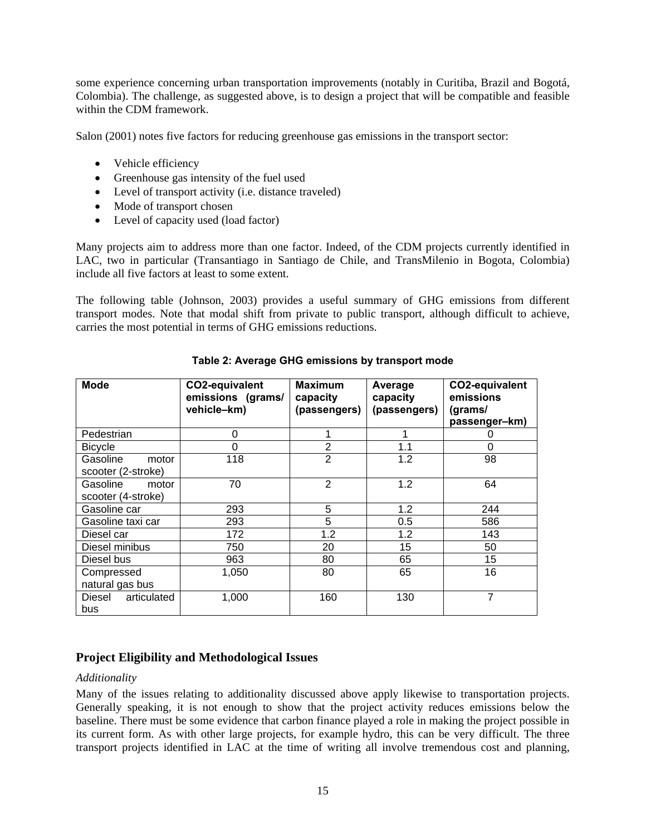some experience concerning urban transportation improvements (notably in Curitiba, Brazil and Bogotá, Colombia). The challenge, as suggested above, is to design a project that will be compatible and feasible within the CDM framework.

Salon (2001) notes five factors for reducing greenhouse gas emissions in the transport sector:

- Vehicle efficiency
- Greenhouse gas intensity of the fuel used
- Level of transport activity (i.e. distance traveled)
- Mode of transport chosen
- Level of capacity used (load factor)

Many projects aim to address more than one factor. Indeed, of the CDM projects currently identified in LAC, two in particular (Transantiago in Santiago de Chile, and TransMilenio in Bogota, Colombia) include all five factors at least to some extent.

The following table (Johnson, 2003) provides a useful summary of GHG emissions from different transport modes. Note that modal shift from private to public transport, although difficult to achieve, carries the most potential in terms of GHG emissions reductions.

| <b>Mode</b>                             | CO2-equivalent<br>emissions (grams/<br>vehicle-km) | <b>Maximum</b><br>capacity<br>(passengers) | Average<br>capacity<br>(passengers) | CO2-equivalent<br>emissions<br>(grams/<br>passenger-km) |
|-----------------------------------------|----------------------------------------------------|--------------------------------------------|-------------------------------------|---------------------------------------------------------|
| Pedestrian                              | 0                                                  |                                            |                                     | O                                                       |
| <b>Bicycle</b>                          | 0                                                  | $\overline{2}$                             | 1.1                                 | 0                                                       |
| Gasoline<br>motor<br>scooter (2-stroke) | 118                                                | $\overline{2}$                             | 1.2                                 | 98                                                      |
| Gasoline<br>motor<br>scooter (4-stroke) | 70                                                 | 2                                          | 1.2                                 | 64                                                      |
| Gasoline car                            | 293                                                | 5                                          | 1.2                                 | 244                                                     |
| Gasoline taxi car                       | 293                                                | 5                                          | 0.5                                 | 586                                                     |
| Diesel car                              | 172                                                | 1.2                                        | 1.2                                 | 143                                                     |
| Diesel minibus                          | 750                                                | 20                                         | 15                                  | 50                                                      |
| Diesel bus                              | 963                                                | 80                                         | 65                                  | 15                                                      |
| Compressed<br>natural gas bus           | 1,050                                              | 80                                         | 65                                  | 16                                                      |
| articulated<br>Diesel<br>bus            | 1,000                                              | 160                                        | 130                                 | 7                                                       |

#### **Table 2: Average GHG emissions by transport mode**

#### **Project Eligibility and Methodological Issues**

#### *Additionality*

Many of the issues relating to additionality discussed above apply likewise to transportation projects. Generally speaking, it is not enough to show that the project activity reduces emissions below the baseline. There must be some evidence that carbon finance played a role in making the project possible in its current form. As with other large projects, for example hydro, this can be very difficult. The three transport projects identified in LAC at the time of writing all involve tremendous cost and planning,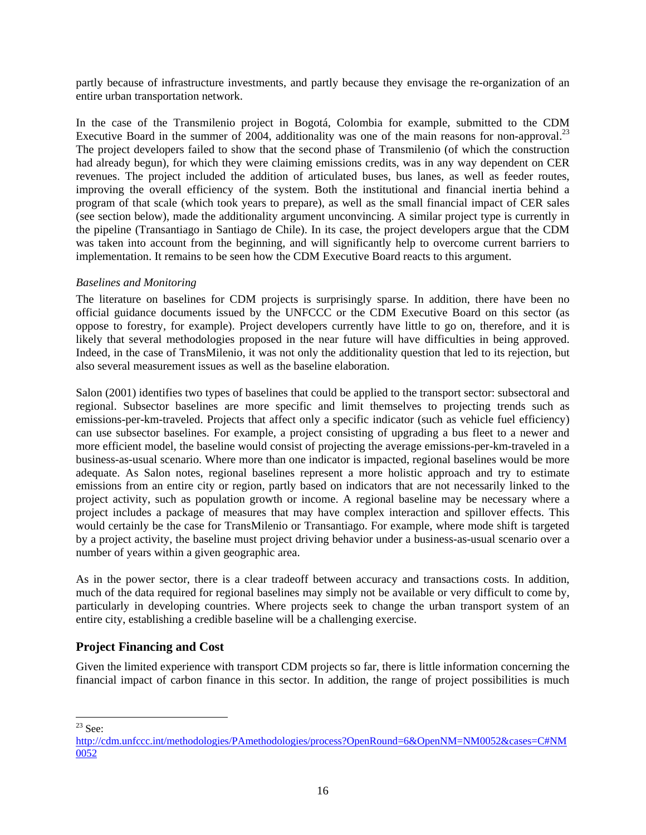partly because of infrastructure investments, and partly because they envisage the re-organization of an entire urban transportation network.

In the case of the Transmilenio project in Bogotá, Colombia for example, submitted to the CDM Executive Board in the summer of 2004, additionality was one of the main reasons for non-approval.<sup>23</sup> The project developers failed to show that the second phase of Transmilenio (of which the construction had already begun), for which they were claiming emissions credits, was in any way dependent on CER revenues. The project included the addition of articulated buses, bus lanes, as well as feeder routes, improving the overall efficiency of the system. Both the institutional and financial inertia behind a program of that scale (which took years to prepare), as well as the small financial impact of CER sales (see section below), made the additionality argument unconvincing. A similar project type is currently in the pipeline (Transantiago in Santiago de Chile). In its case, the project developers argue that the CDM was taken into account from the beginning, and will significantly help to overcome current barriers to implementation. It remains to be seen how the CDM Executive Board reacts to this argument.

#### *Baselines and Monitoring*

The literature on baselines for CDM projects is surprisingly sparse. In addition, there have been no official guidance documents issued by the UNFCCC or the CDM Executive Board on this sector (as oppose to forestry, for example). Project developers currently have little to go on, therefore, and it is likely that several methodologies proposed in the near future will have difficulties in being approved. Indeed, in the case of TransMilenio, it was not only the additionality question that led to its rejection, but also several measurement issues as well as the baseline elaboration.

Salon (2001) identifies two types of baselines that could be applied to the transport sector: subsectoral and regional. Subsector baselines are more specific and limit themselves to projecting trends such as emissions-per-km-traveled. Projects that affect only a specific indicator (such as vehicle fuel efficiency) can use subsector baselines. For example, a project consisting of upgrading a bus fleet to a newer and more efficient model, the baseline would consist of projecting the average emissions-per-km-traveled in a business-as-usual scenario. Where more than one indicator is impacted, regional baselines would be more adequate. As Salon notes, regional baselines represent a more holistic approach and try to estimate emissions from an entire city or region, partly based on indicators that are not necessarily linked to the project activity, such as population growth or income. A regional baseline may be necessary where a project includes a package of measures that may have complex interaction and spillover effects. This would certainly be the case for TransMilenio or Transantiago. For example, where mode shift is targeted by a project activity, the baseline must project driving behavior under a business-as-usual scenario over a number of years within a given geographic area.

As in the power sector, there is a clear tradeoff between accuracy and transactions costs. In addition, much of the data required for regional baselines may simply not be available or very difficult to come by, particularly in developing countries. Where projects seek to change the urban transport system of an entire city, establishing a credible baseline will be a challenging exercise.

#### **Project Financing and Cost**

Given the limited experience with transport CDM projects so far, there is little information concerning the financial impact of carbon finance in this sector. In addition, the range of project possibilities is much

l  $23$  See:

http://cdm.unfccc.int/methodologies/PAmethodologies/process?OpenRound=6&OpenNM=NM0052&cases=C#NM 0052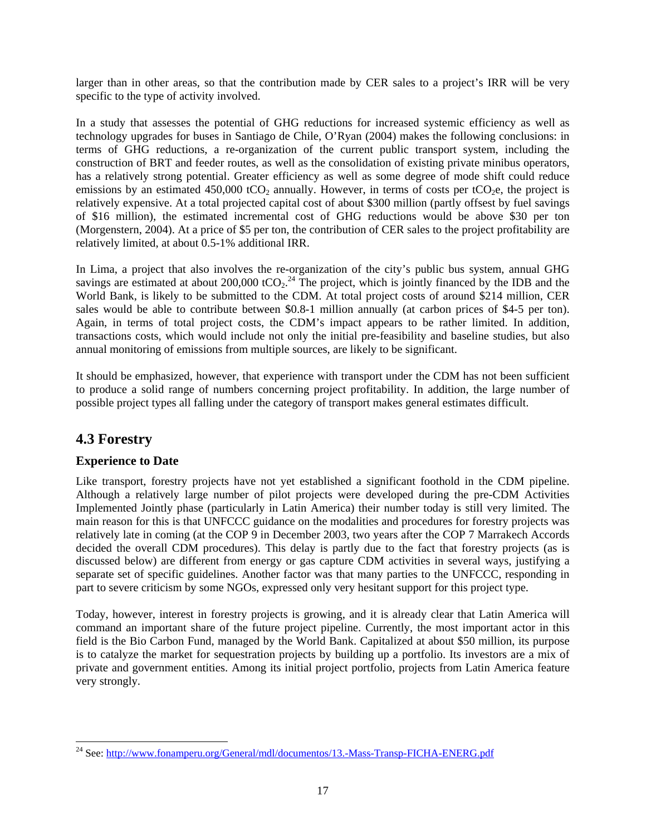larger than in other areas, so that the contribution made by CER sales to a project's IRR will be very specific to the type of activity involved.

In a study that assesses the potential of GHG reductions for increased systemic efficiency as well as technology upgrades for buses in Santiago de Chile, O'Ryan (2004) makes the following conclusions: in terms of GHG reductions, a re-organization of the current public transport system, including the construction of BRT and feeder routes, as well as the consolidation of existing private minibus operators, has a relatively strong potential. Greater efficiency as well as some degree of mode shift could reduce emissions by an estimated 450,000 tCO<sub>2</sub> annually. However, in terms of costs per tCO<sub>2</sub>e, the project is relatively expensive. At a total projected capital cost of about \$300 million (partly offsest by fuel savings of \$16 million), the estimated incremental cost of GHG reductions would be above \$30 per ton (Morgenstern, 2004). At a price of \$5 per ton, the contribution of CER sales to the project profitability are relatively limited, at about 0.5-1% additional IRR.

In Lima, a project that also involves the re-organization of the city's public bus system, annual GHG savings are estimated at about 200,000 tCO<sub>2</sub>.<sup>24</sup> The project, which is jointly financed by the IDB and the World Bank, is likely to be submitted to the CDM. At total project costs of around \$214 million, CER sales would be able to contribute between \$0.8-1 million annually (at carbon prices of \$4-5 per ton). Again, in terms of total project costs, the CDM's impact appears to be rather limited. In addition, transactions costs, which would include not only the initial pre-feasibility and baseline studies, but also annual monitoring of emissions from multiple sources, are likely to be significant.

It should be emphasized, however, that experience with transport under the CDM has not been sufficient to produce a solid range of numbers concerning project profitability. In addition, the large number of possible project types all falling under the category of transport makes general estimates difficult.

## **4.3 Forestry**

### **Experience to Date**

Like transport, forestry projects have not yet established a significant foothold in the CDM pipeline. Although a relatively large number of pilot projects were developed during the pre-CDM Activities Implemented Jointly phase (particularly in Latin America) their number today is still very limited. The main reason for this is that UNFCCC guidance on the modalities and procedures for forestry projects was relatively late in coming (at the COP 9 in December 2003, two years after the COP 7 Marrakech Accords decided the overall CDM procedures). This delay is partly due to the fact that forestry projects (as is discussed below) are different from energy or gas capture CDM activities in several ways, justifying a separate set of specific guidelines. Another factor was that many parties to the UNFCCC, responding in part to severe criticism by some NGOs, expressed only very hesitant support for this project type.

Today, however, interest in forestry projects is growing, and it is already clear that Latin America will command an important share of the future project pipeline. Currently, the most important actor in this field is the Bio Carbon Fund, managed by the World Bank. Capitalized at about \$50 million, its purpose is to catalyze the market for sequestration projects by building up a portfolio. Its investors are a mix of private and government entities. Among its initial project portfolio, projects from Latin America feature very strongly.

l <sup>24</sup> See: http://www.fonamperu.org/General/mdl/documentos/13.-Mass-Transp-FICHA-ENERG.pdf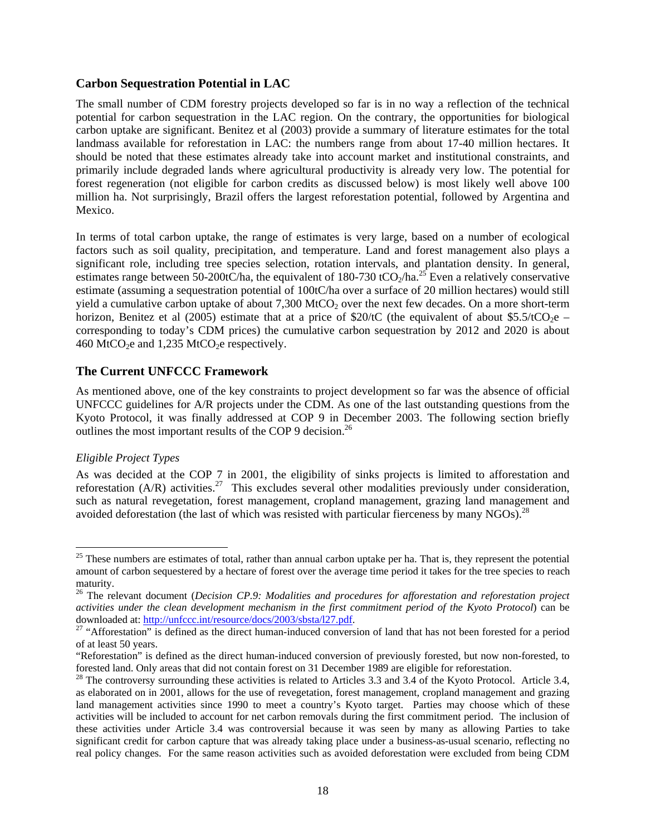#### **Carbon Sequestration Potential in LAC**

The small number of CDM forestry projects developed so far is in no way a reflection of the technical potential for carbon sequestration in the LAC region. On the contrary, the opportunities for biological carbon uptake are significant. Benitez et al (2003) provide a summary of literature estimates for the total landmass available for reforestation in LAC: the numbers range from about 17-40 million hectares. It should be noted that these estimates already take into account market and institutional constraints, and primarily include degraded lands where agricultural productivity is already very low. The potential for forest regeneration (not eligible for carbon credits as discussed below) is most likely well above 100 million ha. Not surprisingly, Brazil offers the largest reforestation potential, followed by Argentina and Mexico.

In terms of total carbon uptake, the range of estimates is very large, based on a number of ecological factors such as soil quality, precipitation, and temperature. Land and forest management also plays a significant role, including tree species selection, rotation intervals, and plantation density. In general, estimates range between 50-200tC/ha, the equivalent of 180-730 tCO<sub>2</sub>/ha.<sup>25</sup> Even a relatively conservative estimate (assuming a sequestration potential of 100tC/ha over a surface of 20 million hectares) would still yield a cumulative carbon uptake of about  $7,300$  MtCO<sub>2</sub> over the next few decades. On a more short-term horizon, Benitez et al (2005) estimate that at a price of \$20/tC (the equivalent of about \$5.5/tCO<sub>2</sub>e – corresponding to today's CDM prices) the cumulative carbon sequestration by 2012 and 2020 is about 460 MtCO<sub>2</sub>e and 1,235 MtCO<sub>2</sub>e respectively.

#### **The Current UNFCCC Framework**

As mentioned above, one of the key constraints to project development so far was the absence of official UNFCCC guidelines for A/R projects under the CDM. As one of the last outstanding questions from the Kyoto Protocol, it was finally addressed at COP 9 in December 2003. The following section briefly outlines the most important results of the COP 9 decision.<sup>26</sup>

#### *Eligible Project Types*

l

As was decided at the COP 7 in 2001, the eligibility of sinks projects is limited to afforestation and reforestation (A/R) activities.<sup>27</sup> This excludes several other modalities previously under consideration, such as natural revegetation, forest management, cropland management, grazing land management and avoided deforestation (the last of which was resisted with particular fierceness by many  $NGOs$ ).<sup>28</sup>

 $25$  These numbers are estimates of total, rather than annual carbon uptake per ha. That is, they represent the potential amount of carbon sequestered by a hectare of forest over the average time period it takes for the tree species to reach maturity.

<sup>26</sup> The relevant document (*Decision CP.9: Modalities and procedures for afforestation and reforestation project activities under the clean development mechanism in the first commitment period of the Kyoto Protocol*) can be downloaded at: http://unfccc.int/resource/docs/2003/sbsta/127.pdf.

<sup>&</sup>lt;sup>27</sup> "Afforestation" is defined as the direct human-induced conversion of land that has not been forested for a period of at least 50 years.

<sup>&</sup>quot;Reforestation" is defined as the direct human-induced conversion of previously forested, but now non-forested, to forested land. Only areas that did not contain forest on 31 December 1989 are eligible for reforestation.<br><sup>28</sup> The controversy surrounding these activities is related to Articles 3.3 and 3.4 of the Kyoto Protocol. Article

as elaborated on in 2001, allows for the use of revegetation, forest management, cropland management and grazing land management activities since 1990 to meet a country's Kyoto target. Parties may choose which of these activities will be included to account for net carbon removals during the first commitment period. The inclusion of these activities under Article 3.4 was controversial because it was seen by many as allowing Parties to take significant credit for carbon capture that was already taking place under a business-as-usual scenario, reflecting no real policy changes. For the same reason activities such as avoided deforestation were excluded from being CDM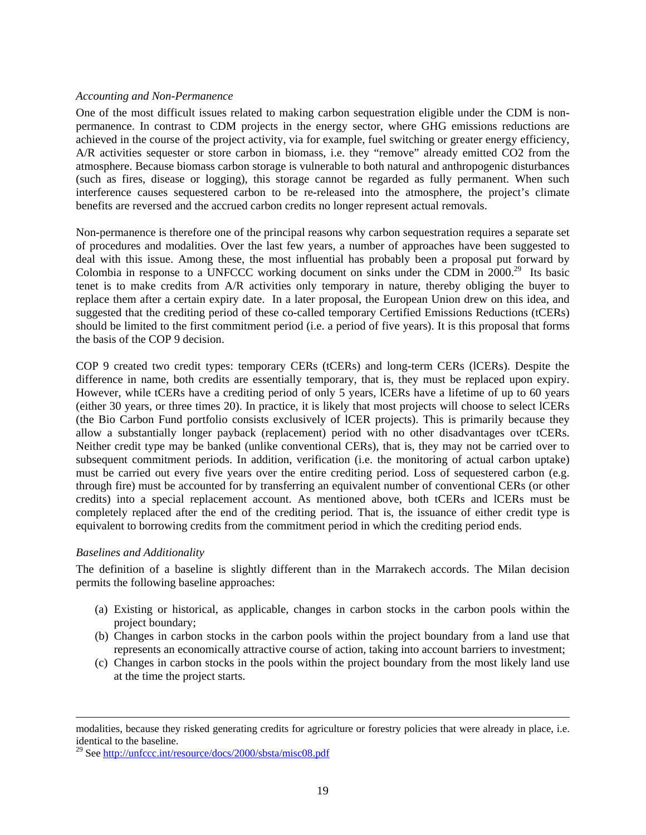#### *Accounting and Non-Permanence*

One of the most difficult issues related to making carbon sequestration eligible under the CDM is nonpermanence. In contrast to CDM projects in the energy sector, where GHG emissions reductions are achieved in the course of the project activity, via for example, fuel switching or greater energy efficiency, A/R activities sequester or store carbon in biomass, i.e. they "remove" already emitted CO2 from the atmosphere. Because biomass carbon storage is vulnerable to both natural and anthropogenic disturbances (such as fires, disease or logging), this storage cannot be regarded as fully permanent. When such interference causes sequestered carbon to be re-released into the atmosphere, the project's climate benefits are reversed and the accrued carbon credits no longer represent actual removals.

Non-permanence is therefore one of the principal reasons why carbon sequestration requires a separate set of procedures and modalities. Over the last few years, a number of approaches have been suggested to deal with this issue. Among these, the most influential has probably been a proposal put forward by Colombia in response to a UNFCCC working document on sinks under the CDM in  $2000$ <sup>29</sup> Its basic tenet is to make credits from A/R activities only temporary in nature, thereby obliging the buyer to replace them after a certain expiry date. In a later proposal, the European Union drew on this idea, and suggested that the crediting period of these co-called temporary Certified Emissions Reductions (tCERs) should be limited to the first commitment period (i.e. a period of five years). It is this proposal that forms the basis of the COP 9 decision.

COP 9 created two credit types: temporary CERs (tCERs) and long-term CERs (lCERs). Despite the difference in name, both credits are essentially temporary, that is, they must be replaced upon expiry. However, while tCERs have a crediting period of only 5 years, lCERs have a lifetime of up to 60 years (either 30 years, or three times 20). In practice, it is likely that most projects will choose to select lCERs (the Bio Carbon Fund portfolio consists exclusively of lCER projects). This is primarily because they allow a substantially longer payback (replacement) period with no other disadvantages over tCERs. Neither credit type may be banked (unlike conventional CERs), that is, they may not be carried over to subsequent commitment periods. In addition, verification (i.e. the monitoring of actual carbon uptake) must be carried out every five years over the entire crediting period. Loss of sequestered carbon (e.g. through fire) must be accounted for by transferring an equivalent number of conventional CERs (or other credits) into a special replacement account. As mentioned above, both tCERs and lCERs must be completely replaced after the end of the crediting period. That is, the issuance of either credit type is equivalent to borrowing credits from the commitment period in which the crediting period ends.

#### *Baselines and Additionality*

1

The definition of a baseline is slightly different than in the Marrakech accords. The Milan decision permits the following baseline approaches:

- (a) Existing or historical, as applicable, changes in carbon stocks in the carbon pools within the project boundary;
- (b) Changes in carbon stocks in the carbon pools within the project boundary from a land use that represents an economically attractive course of action, taking into account barriers to investment;
- (c) Changes in carbon stocks in the pools within the project boundary from the most likely land use at the time the project starts.

modalities, because they risked generating credits for agriculture or forestry policies that were already in place, i.e. identical to the baseline.

<sup>&</sup>lt;sup>29</sup> See http://unfccc.int/resource/docs/2000/sbsta/misc08.pdf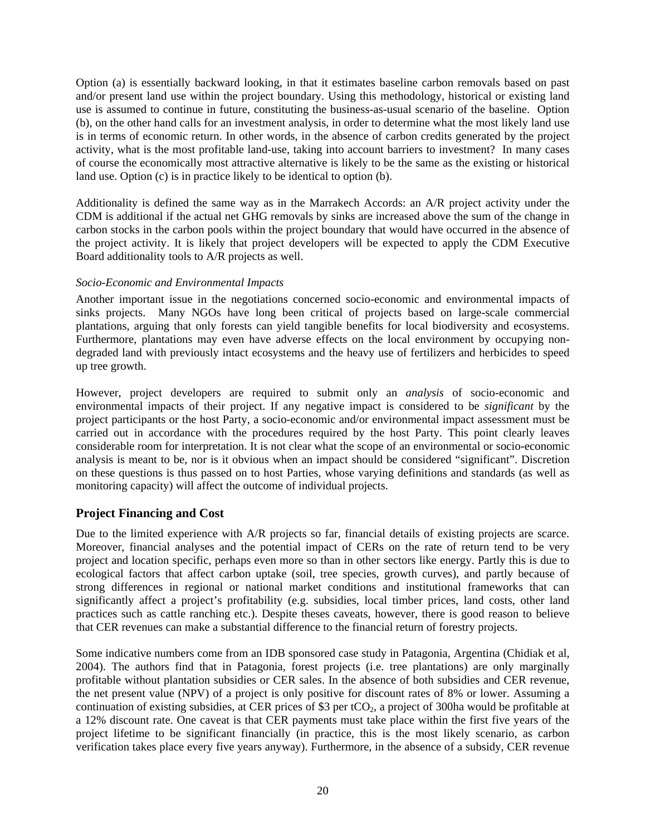Option (a) is essentially backward looking, in that it estimates baseline carbon removals based on past and/or present land use within the project boundary. Using this methodology, historical or existing land use is assumed to continue in future, constituting the business-as-usual scenario of the baseline. Option (b), on the other hand calls for an investment analysis, in order to determine what the most likely land use is in terms of economic return. In other words, in the absence of carbon credits generated by the project activity, what is the most profitable land-use, taking into account barriers to investment? In many cases of course the economically most attractive alternative is likely to be the same as the existing or historical land use. Option (c) is in practice likely to be identical to option (b).

Additionality is defined the same way as in the Marrakech Accords: an A/R project activity under the CDM is additional if the actual net GHG removals by sinks are increased above the sum of the change in carbon stocks in the carbon pools within the project boundary that would have occurred in the absence of the project activity. It is likely that project developers will be expected to apply the CDM Executive Board additionality tools to A/R projects as well.

#### *Socio-Economic and Environmental Impacts*

Another important issue in the negotiations concerned socio-economic and environmental impacts of sinks projects. Many NGOs have long been critical of projects based on large-scale commercial plantations, arguing that only forests can yield tangible benefits for local biodiversity and ecosystems. Furthermore, plantations may even have adverse effects on the local environment by occupying nondegraded land with previously intact ecosystems and the heavy use of fertilizers and herbicides to speed up tree growth.

However, project developers are required to submit only an *analysis* of socio-economic and environmental impacts of their project. If any negative impact is considered to be *significant* by the project participants or the host Party, a socio-economic and/or environmental impact assessment must be carried out in accordance with the procedures required by the host Party. This point clearly leaves considerable room for interpretation. It is not clear what the scope of an environmental or socio-economic analysis is meant to be, nor is it obvious when an impact should be considered "significant". Discretion on these questions is thus passed on to host Parties, whose varying definitions and standards (as well as monitoring capacity) will affect the outcome of individual projects.

#### **Project Financing and Cost**

Due to the limited experience with A/R projects so far, financial details of existing projects are scarce. Moreover, financial analyses and the potential impact of CERs on the rate of return tend to be very project and location specific, perhaps even more so than in other sectors like energy. Partly this is due to ecological factors that affect carbon uptake (soil, tree species, growth curves), and partly because of strong differences in regional or national market conditions and institutional frameworks that can significantly affect a project's profitability (e.g. subsidies, local timber prices, land costs, other land practices such as cattle ranching etc.). Despite theses caveats, however, there is good reason to believe that CER revenues can make a substantial difference to the financial return of forestry projects.

Some indicative numbers come from an IDB sponsored case study in Patagonia, Argentina (Chidiak et al, 2004). The authors find that in Patagonia, forest projects (i.e. tree plantations) are only marginally profitable without plantation subsidies or CER sales. In the absence of both subsidies and CER revenue, the net present value (NPV) of a project is only positive for discount rates of 8% or lower. Assuming a continuation of existing subsidies, at CER prices of \$3 per  $tCO<sub>2</sub>$ , a project of 300ha would be profitable at a 12% discount rate. One caveat is that CER payments must take place within the first five years of the project lifetime to be significant financially (in practice, this is the most likely scenario, as carbon verification takes place every five years anyway). Furthermore, in the absence of a subsidy, CER revenue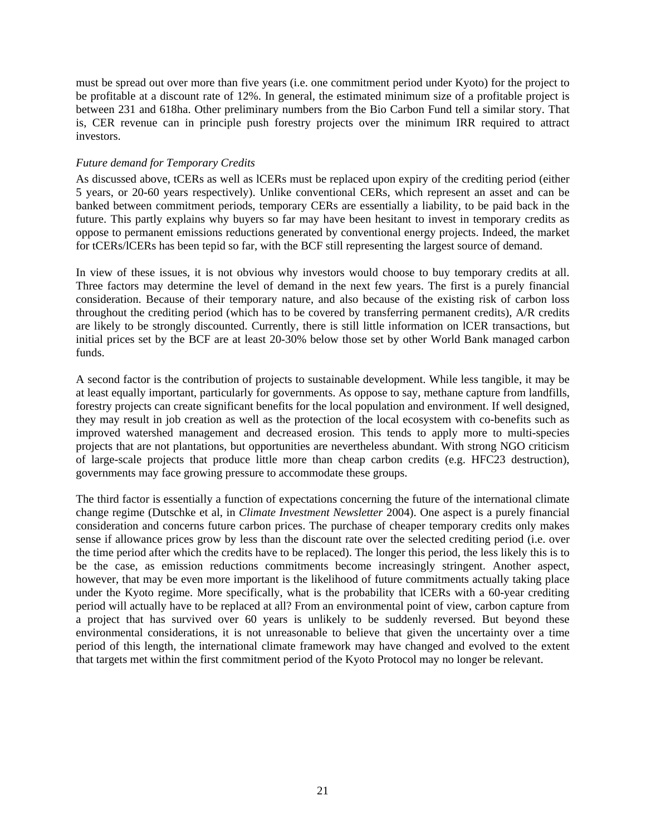must be spread out over more than five years (i.e. one commitment period under Kyoto) for the project to be profitable at a discount rate of 12%. In general, the estimated minimum size of a profitable project is between 231 and 618ha. Other preliminary numbers from the Bio Carbon Fund tell a similar story. That is, CER revenue can in principle push forestry projects over the minimum IRR required to attract investors.

#### *Future demand for Temporary Credits*

As discussed above, tCERs as well as lCERs must be replaced upon expiry of the crediting period (either 5 years, or 20-60 years respectively). Unlike conventional CERs, which represent an asset and can be banked between commitment periods, temporary CERs are essentially a liability, to be paid back in the future. This partly explains why buyers so far may have been hesitant to invest in temporary credits as oppose to permanent emissions reductions generated by conventional energy projects. Indeed, the market for tCERs/lCERs has been tepid so far, with the BCF still representing the largest source of demand.

In view of these issues, it is not obvious why investors would choose to buy temporary credits at all. Three factors may determine the level of demand in the next few years. The first is a purely financial consideration. Because of their temporary nature, and also because of the existing risk of carbon loss throughout the crediting period (which has to be covered by transferring permanent credits), A/R credits are likely to be strongly discounted. Currently, there is still little information on lCER transactions, but initial prices set by the BCF are at least 20-30% below those set by other World Bank managed carbon funds.

A second factor is the contribution of projects to sustainable development. While less tangible, it may be at least equally important, particularly for governments. As oppose to say, methane capture from landfills, forestry projects can create significant benefits for the local population and environment. If well designed, they may result in job creation as well as the protection of the local ecosystem with co-benefits such as improved watershed management and decreased erosion. This tends to apply more to multi-species projects that are not plantations, but opportunities are nevertheless abundant. With strong NGO criticism of large-scale projects that produce little more than cheap carbon credits (e.g. HFC23 destruction), governments may face growing pressure to accommodate these groups.

The third factor is essentially a function of expectations concerning the future of the international climate change regime (Dutschke et al, in *Climate Investment Newsletter* 2004). One aspect is a purely financial consideration and concerns future carbon prices. The purchase of cheaper temporary credits only makes sense if allowance prices grow by less than the discount rate over the selected crediting period (i.e. over the time period after which the credits have to be replaced). The longer this period, the less likely this is to be the case, as emission reductions commitments become increasingly stringent. Another aspect, however, that may be even more important is the likelihood of future commitments actually taking place under the Kyoto regime. More specifically, what is the probability that lCERs with a 60-year crediting period will actually have to be replaced at all? From an environmental point of view, carbon capture from a project that has survived over 60 years is unlikely to be suddenly reversed. But beyond these environmental considerations, it is not unreasonable to believe that given the uncertainty over a time period of this length, the international climate framework may have changed and evolved to the extent that targets met within the first commitment period of the Kyoto Protocol may no longer be relevant.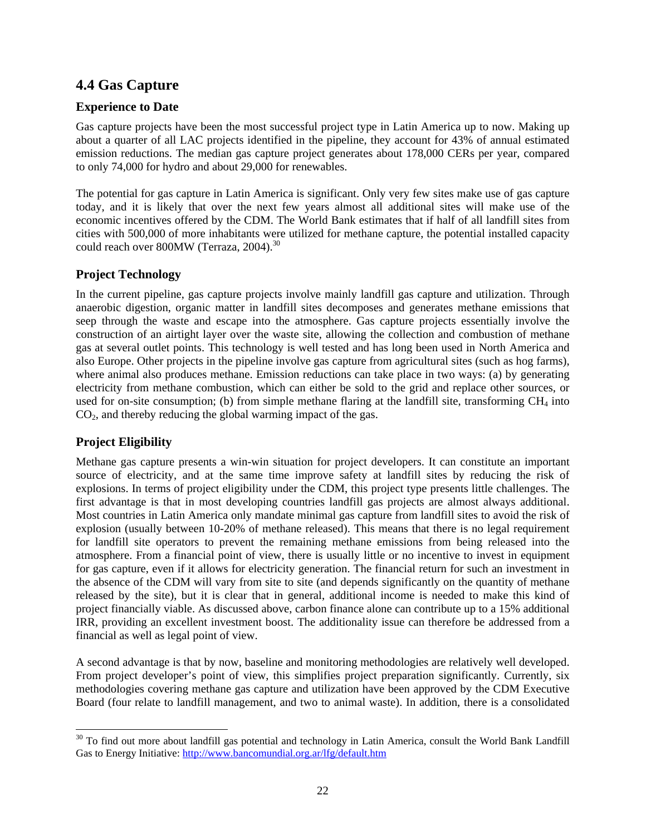## **4.4 Gas Capture**

#### **Experience to Date**

Gas capture projects have been the most successful project type in Latin America up to now. Making up about a quarter of all LAC projects identified in the pipeline, they account for 43% of annual estimated emission reductions. The median gas capture project generates about 178,000 CERs per year, compared to only 74,000 for hydro and about 29,000 for renewables.

The potential for gas capture in Latin America is significant. Only very few sites make use of gas capture today, and it is likely that over the next few years almost all additional sites will make use of the economic incentives offered by the CDM. The World Bank estimates that if half of all landfill sites from cities with 500,000 of more inhabitants were utilized for methane capture, the potential installed capacity could reach over 800MW (Terraza, 2004).<sup>30</sup>

#### **Project Technology**

In the current pipeline, gas capture projects involve mainly landfill gas capture and utilization. Through anaerobic digestion, organic matter in landfill sites decomposes and generates methane emissions that seep through the waste and escape into the atmosphere. Gas capture projects essentially involve the construction of an airtight layer over the waste site, allowing the collection and combustion of methane gas at several outlet points. This technology is well tested and has long been used in North America and also Europe. Other projects in the pipeline involve gas capture from agricultural sites (such as hog farms), where animal also produces methane. Emission reductions can take place in two ways: (a) by generating electricity from methane combustion, which can either be sold to the grid and replace other sources, or used for on-site consumption; (b) from simple methane flaring at the landfill site, transforming  $CH<sub>4</sub>$  into  $CO<sub>2</sub>$ , and thereby reducing the global warming impact of the gas.

### **Project Eligibility**

l

Methane gas capture presents a win-win situation for project developers. It can constitute an important source of electricity, and at the same time improve safety at landfill sites by reducing the risk of explosions. In terms of project eligibility under the CDM, this project type presents little challenges. The first advantage is that in most developing countries landfill gas projects are almost always additional. Most countries in Latin America only mandate minimal gas capture from landfill sites to avoid the risk of explosion (usually between 10-20% of methane released). This means that there is no legal requirement for landfill site operators to prevent the remaining methane emissions from being released into the atmosphere. From a financial point of view, there is usually little or no incentive to invest in equipment for gas capture, even if it allows for electricity generation. The financial return for such an investment in the absence of the CDM will vary from site to site (and depends significantly on the quantity of methane released by the site), but it is clear that in general, additional income is needed to make this kind of project financially viable. As discussed above, carbon finance alone can contribute up to a 15% additional IRR, providing an excellent investment boost. The additionality issue can therefore be addressed from a financial as well as legal point of view.

A second advantage is that by now, baseline and monitoring methodologies are relatively well developed. From project developer's point of view, this simplifies project preparation significantly. Currently, six methodologies covering methane gas capture and utilization have been approved by the CDM Executive Board (four relate to landfill management, and two to animal waste). In addition, there is a consolidated

 $30$  To find out more about landfill gas potential and technology in Latin America, consult the World Bank Landfill Gas to Energy Initiative: http://www.bancomundial.org.ar/lfg/default.htm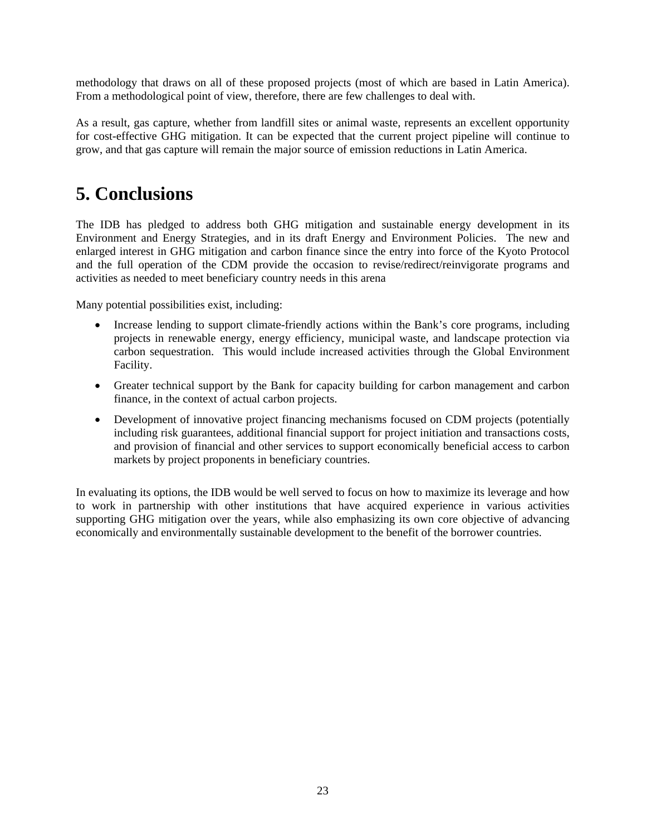methodology that draws on all of these proposed projects (most of which are based in Latin America). From a methodological point of view, therefore, there are few challenges to deal with.

As a result, gas capture, whether from landfill sites or animal waste, represents an excellent opportunity for cost-effective GHG mitigation. It can be expected that the current project pipeline will continue to grow, and that gas capture will remain the major source of emission reductions in Latin America.

## **5. Conclusions**

The IDB has pledged to address both GHG mitigation and sustainable energy development in its Environment and Energy Strategies, and in its draft Energy and Environment Policies. The new and enlarged interest in GHG mitigation and carbon finance since the entry into force of the Kyoto Protocol and the full operation of the CDM provide the occasion to revise/redirect/reinvigorate programs and activities as needed to meet beneficiary country needs in this arena

Many potential possibilities exist, including:

- Increase lending to support climate-friendly actions within the Bank's core programs, including projects in renewable energy, energy efficiency, municipal waste, and landscape protection via carbon sequestration. This would include increased activities through the Global Environment Facility.
- Greater technical support by the Bank for capacity building for carbon management and carbon finance, in the context of actual carbon projects.
- Development of innovative project financing mechanisms focused on CDM projects (potentially including risk guarantees, additional financial support for project initiation and transactions costs, and provision of financial and other services to support economically beneficial access to carbon markets by project proponents in beneficiary countries.

In evaluating its options, the IDB would be well served to focus on how to maximize its leverage and how to work in partnership with other institutions that have acquired experience in various activities supporting GHG mitigation over the years, while also emphasizing its own core objective of advancing economically and environmentally sustainable development to the benefit of the borrower countries.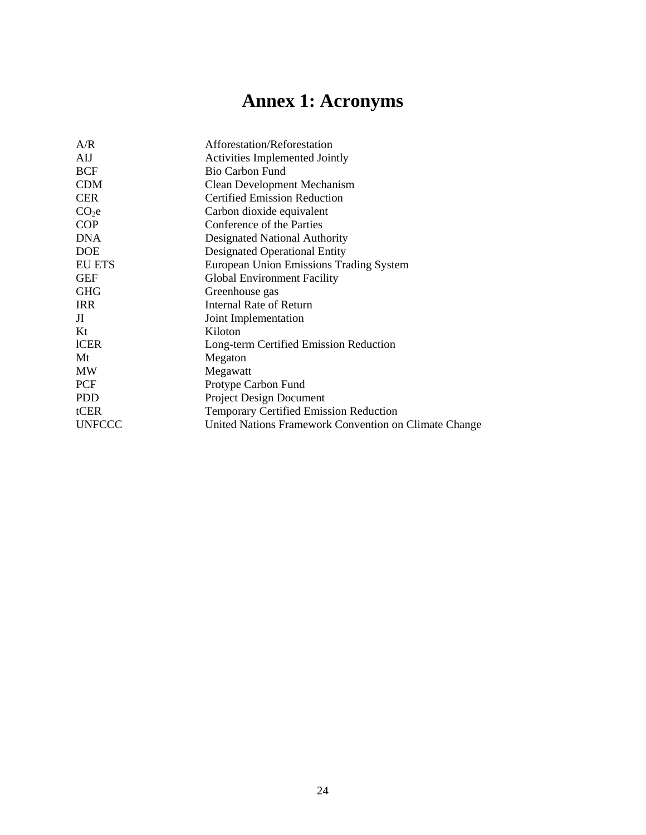# **Annex 1: Acronyms**

| A/R               | Afforestation/Reforestation                           |
|-------------------|-------------------------------------------------------|
| <b>AIJ</b>        | <b>Activities Implemented Jointly</b>                 |
| <b>BCF</b>        | <b>Bio Carbon Fund</b>                                |
| <b>CDM</b>        | <b>Clean Development Mechanism</b>                    |
| <b>CER</b>        | <b>Certified Emission Reduction</b>                   |
| CO <sub>2</sub> e | Carbon dioxide equivalent                             |
| <b>COP</b>        | Conference of the Parties                             |
| <b>DNA</b>        | Designated National Authority                         |
| <b>DOE</b>        | Designated Operational Entity                         |
| <b>EU ETS</b>     | European Union Emissions Trading System               |
| <b>GEF</b>        | <b>Global Environment Facility</b>                    |
| <b>GHG</b>        | Greenhouse gas                                        |
| <b>IRR</b>        | Internal Rate of Return                               |
| JI                | Joint Implementation                                  |
| Kt                | Kiloton                                               |
| <b>ICER</b>       | Long-term Certified Emission Reduction                |
| Mt                | Megaton                                               |
| MW                | Megawatt                                              |
| <b>PCF</b>        | Protype Carbon Fund                                   |
| <b>PDD</b>        | <b>Project Design Document</b>                        |
| tCER              | <b>Temporary Certified Emission Reduction</b>         |
| <b>UNFCCC</b>     | United Nations Framework Convention on Climate Change |
|                   |                                                       |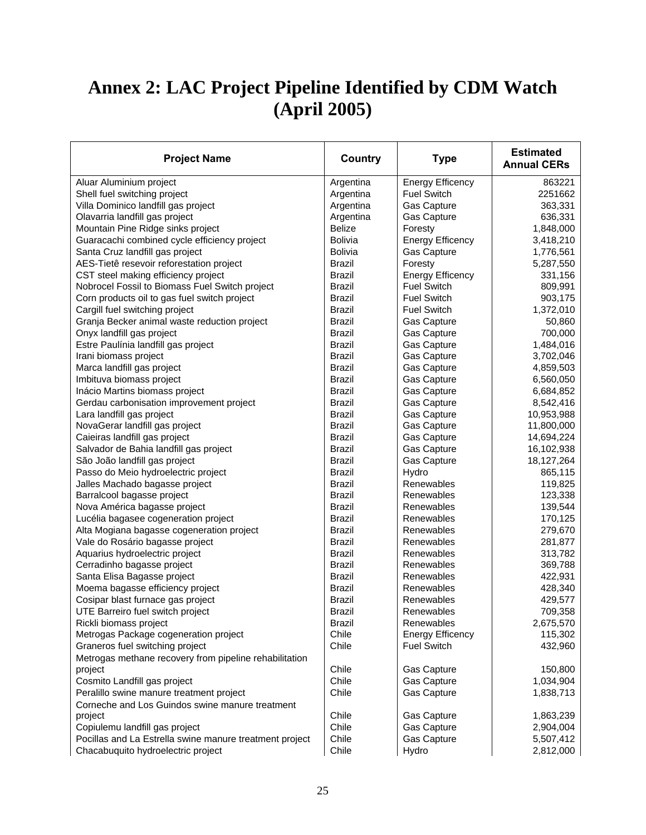# **Annex 2: LAC Project Pipeline Identified by CDM Watch (April 2005)**

| <b>Project Name</b>                                     | <b>Country</b> | <b>Type</b>             | <b>Estimated</b><br><b>Annual CERs</b> |
|---------------------------------------------------------|----------------|-------------------------|----------------------------------------|
| Aluar Aluminium project                                 | Argentina      | <b>Energy Efficency</b> | 863221                                 |
| Shell fuel switching project                            | Argentina      | <b>Fuel Switch</b>      | 2251662                                |
| Villa Dominico landfill gas project                     | Argentina      | Gas Capture             | 363,331                                |
| Olavarria landfill gas project                          | Argentina      | Gas Capture             | 636,331                                |
| Mountain Pine Ridge sinks project                       | <b>Belize</b>  | Foresty                 | 1,848,000                              |
| Guaracachi combined cycle efficiency project            | <b>Bolivia</b> | <b>Energy Efficency</b> | 3,418,210                              |
| Santa Cruz landfill gas project                         | Bolivia        | Gas Capture             | 1,776,561                              |
| AES-Tietê resevoir reforestation project                | <b>Brazil</b>  | Foresty                 | 5,287,550                              |
| CST steel making efficiency project                     | <b>Brazil</b>  | <b>Energy Efficency</b> | 331,156                                |
| Nobrocel Fossil to Biomass Fuel Switch project          | <b>Brazil</b>  | <b>Fuel Switch</b>      | 809,991                                |
| Corn products oil to gas fuel switch project            | <b>Brazil</b>  | <b>Fuel Switch</b>      | 903,175                                |
| Cargill fuel switching project                          | Brazil         | <b>Fuel Switch</b>      | 1,372,010                              |
| Granja Becker animal waste reduction project            | <b>Brazil</b>  | Gas Capture             | 50,860                                 |
| Onyx landfill gas project                               | <b>Brazil</b>  | Gas Capture             | 700,000                                |
| Estre Paulínia landfill gas project                     | <b>Brazil</b>  | Gas Capture             | 1,484,016                              |
| Irani biomass project                                   | <b>Brazil</b>  | Gas Capture             | 3,702,046                              |
| Marca landfill gas project                              | <b>Brazil</b>  | Gas Capture             | 4,859,503                              |
| Imbituva biomass project                                | <b>Brazil</b>  | Gas Capture             | 6,560,050                              |
| Inácio Martins biomass project                          | <b>Brazil</b>  | Gas Capture             | 6,684,852                              |
| Gerdau carbonisation improvement project                | <b>Brazil</b>  | Gas Capture             | 8,542,416                              |
| Lara landfill gas project                               | <b>Brazil</b>  | Gas Capture             | 10,953,988                             |
| NovaGerar landfill gas project                          | <b>Brazil</b>  | Gas Capture             | 11,800,000                             |
| Caieiras landfill gas project                           | <b>Brazil</b>  | Gas Capture             | 14,694,224                             |
| Salvador de Bahia landfill gas project                  | Brazil         | Gas Capture             | 16,102,938                             |
| São João landfill gas project                           | <b>Brazil</b>  | Gas Capture             | 18,127,264                             |
| Passo do Meio hydroelectric project                     | <b>Brazil</b>  | Hydro                   | 865,115                                |
| Jalles Machado bagasse project                          | <b>Brazil</b>  | Renewables              | 119,825                                |
| Barralcool bagasse project                              | <b>Brazil</b>  | Renewables              | 123,338                                |
| Nova América bagasse project                            | <b>Brazil</b>  | Renewables              | 139,544                                |
| Lucélia bagasee cogeneration project                    | <b>Brazil</b>  | Renewables              | 170,125                                |
| Alta Mogiana bagasse cogeneration project               | <b>Brazil</b>  | Renewables              | 279,670                                |
| Vale do Rosário bagasse project                         | <b>Brazil</b>  | Renewables              | 281,877                                |
| Aquarius hydroelectric project                          | <b>Brazil</b>  | Renewables              | 313,782                                |
| Cerradinho bagasse project                              | <b>Brazil</b>  | Renewables              | 369,788                                |
| Santa Elisa Bagasse project                             | <b>Brazil</b>  | Renewables              | 422,931                                |
| Moema bagasse efficiency project                        | <b>Brazil</b>  | Renewables              | 428,340                                |
| Cosipar blast furnace gas project                       | <b>Brazil</b>  | Renewables              | 429,577                                |
| UTE Barreiro fuel switch project                        | <b>Brazil</b>  | Renewables              | 709,358                                |
| Rickli biomass project                                  | Brazil         | Renewables              | 2,675,570                              |
| Metrogas Package cogeneration project                   | Chile          | <b>Energy Efficency</b> | 115,302                                |
| Graneros fuel switching project                         | Chile          | <b>Fuel Switch</b>      | 432,960                                |
| Metrogas methane recovery from pipeline rehabilitation  |                |                         |                                        |
| project                                                 | Chile          | Gas Capture             | 150,800                                |
| Cosmito Landfill gas project                            | Chile          | <b>Gas Capture</b>      | 1,034,904                              |
| Peralillo swine manure treatment project                | Chile          | Gas Capture             | 1,838,713                              |
| Corneche and Los Guindos swine manure treatment         |                |                         |                                        |
| project                                                 | Chile          | Gas Capture             | 1,863,239                              |
| Copiulemu landfill gas project                          | Chile          | Gas Capture             | 2,904,004                              |
| Pocillas and La Estrella swine manure treatment project | Chile          | Gas Capture             | 5,507,412                              |
| Chacabuquito hydroelectric project                      | Chile          | Hydro                   | 2,812,000                              |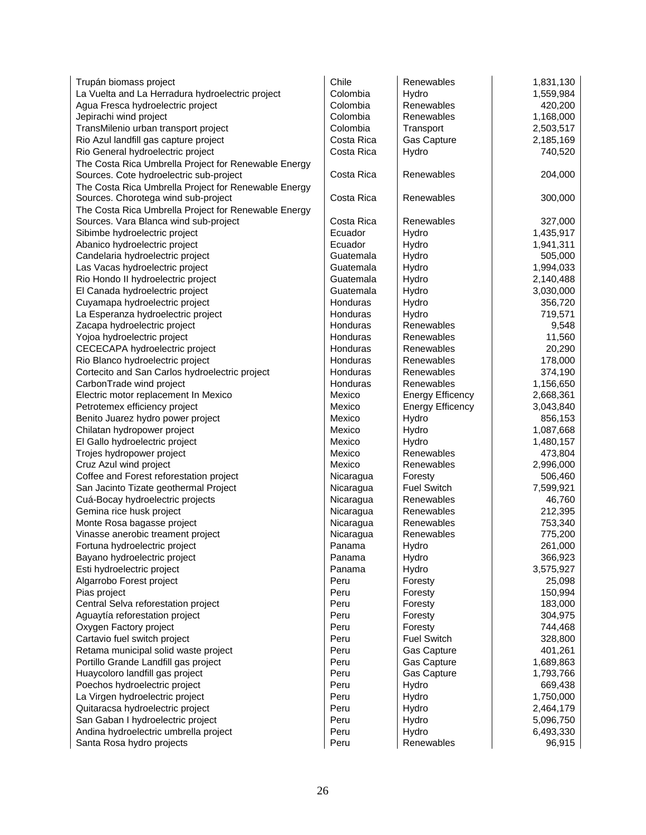| Trupán biomass project                               | Chile           | Renewables              | 1,831,130 |
|------------------------------------------------------|-----------------|-------------------------|-----------|
| La Vuelta and La Herradura hydroelectric project     | Colombia        | Hydro                   | 1,559,984 |
| Agua Fresca hydroelectric project                    | Colombia        | Renewables              | 420,200   |
| Jepirachi wind project                               | Colombia        | <b>Renewables</b>       | 1,168,000 |
| TransMilenio urban transport project                 | Colombia        | Transport               | 2,503,517 |
| Rio Azul landfill gas capture project                | Costa Rica      | Gas Capture             | 2,185,169 |
| Rio General hydroelectric project                    | Costa Rica      | Hydro                   | 740,520   |
| The Costa Rica Umbrella Project for Renewable Energy |                 |                         |           |
| Sources. Cote hydroelectric sub-project              | Costa Rica      | Renewables              | 204,000   |
| The Costa Rica Umbrella Project for Renewable Energy |                 |                         |           |
| Sources. Chorotega wind sub-project                  | Costa Rica      | Renewables              | 300,000   |
| The Costa Rica Umbrella Project for Renewable Energy |                 |                         |           |
| Sources. Vara Blanca wind sub-project                | Costa Rica      | Renewables              | 327,000   |
| Sibimbe hydroelectric project                        | Ecuador         | Hydro                   | 1,435,917 |
| Abanico hydroelectric project                        | Ecuador         | Hydro                   | 1,941,311 |
| Candelaria hydroelectric project                     | Guatemala       | Hydro                   | 505,000   |
| Las Vacas hydroelectric project                      | Guatemala       | Hydro                   | 1,994,033 |
| Rio Hondo II hydroelectric project                   | Guatemala       | Hydro                   | 2,140,488 |
| El Canada hydroelectric project                      | Guatemala       | Hydro                   | 3,030,000 |
| Cuyamapa hydroelectric project                       | Honduras        | Hydro                   | 356,720   |
| La Esperanza hydroelectric project                   | <b>Honduras</b> | Hydro                   | 719,571   |
| Zacapa hydroelectric project                         | Honduras        | Renewables              | 9,548     |
| Yojoa hydroelectric project                          | Honduras        | Renewables              | 11,560    |
| CECECAPA hydroelectric project                       | Honduras        | Renewables              | 20,290    |
| Rio Blanco hydroelectric project                     | Honduras        | Renewables              | 178,000   |
| Cortecito and San Carlos hydroelectric project       | <b>Honduras</b> | Renewables              | 374,190   |
| CarbonTrade wind project                             | Honduras        | Renewables              | 1,156,650 |
| Electric motor replacement In Mexico                 | Mexico          | <b>Energy Efficency</b> | 2,668,361 |
| Petrotemex efficiency project                        | Mexico          | <b>Energy Efficency</b> | 3,043,840 |
| Benito Juarez hydro power project                    | Mexico          | Hydro                   | 856,153   |
| Chilatan hydropower project                          | Mexico          | Hydro                   | 1,087,668 |
| El Gallo hydroelectric project                       | Mexico          | Hydro                   | 1,480,157 |
| Trojes hydropower project                            | Mexico          | Renewables              | 473,804   |
| Cruz Azul wind project                               | Mexico          | Renewables              | 2,996,000 |
| Coffee and Forest reforestation project              | Nicaragua       | Foresty                 | 506,460   |
| San Jacinto Tizate geothermal Project                | Nicaragua       | <b>Fuel Switch</b>      | 7,599,921 |
| Cuá-Bocay hydroelectric projects                     | Nicaragua       | Renewables              | 46,760    |
| Gemina rice husk project                             | Nicaragua       | Renewables              | 212,395   |
| Monte Rosa bagasse project                           | Nicaragua       | Renewables              | 753,340   |
| Vinasse anerobic treament project                    | Nicaragua       | Renewables              | 775,200   |
| Fortuna hydroelectric project                        | Panama          | Hydro                   | 261,000   |
| Bayano hydroelectric project                         | Panama          | Hydro                   | 366,923   |
| Esti hydroelectric project                           | Panama          | Hydro                   | 3,575,927 |
| Algarrobo Forest project                             | Peru            | Foresty                 | 25,098    |
| Pias project                                         | Peru            | Foresty                 | 150,994   |
| Central Selva reforestation project                  | Peru            | Foresty                 | 183,000   |
| Aguaytía reforestation project                       | Peru            | Foresty                 | 304,975   |
| Oxygen Factory project                               | Peru            | Foresty                 | 744,468   |
| Cartavio fuel switch project                         | Peru            | <b>Fuel Switch</b>      | 328,800   |
| Retama municipal solid waste project                 | Peru            | Gas Capture             | 401,261   |
| Portillo Grande Landfill gas project                 | Peru            | Gas Capture             | 1,689,863 |
| Huaycoloro landfill gas project                      | Peru            | Gas Capture             | 1,793,766 |
| Poechos hydroelectric project                        | Peru            | Hydro                   | 669,438   |
| La Virgen hydroelectric project                      | Peru            | Hydro                   | 1,750,000 |
| Quitaracsa hydroelectric project                     | Peru            | Hydro                   | 2,464,179 |
| San Gaban I hydroelectric project                    | Peru            | Hydro                   | 5,096,750 |
| Andina hydroelectric umbrella project                | Peru            | Hydro                   | 6,493,330 |
| Santa Rosa hydro projects                            | Peru            | Renewables              | 96,915    |
|                                                      |                 |                         |           |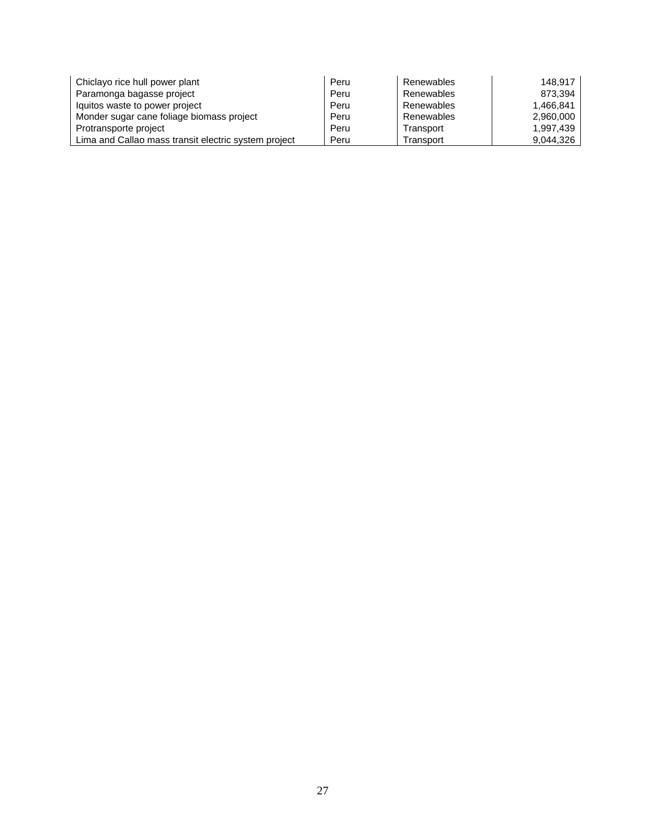| Chiclayo rice hull power plant                       | Peru | Renewables | 148.917   |
|------------------------------------------------------|------|------------|-----------|
| Paramonga bagasse project                            | Peru | Renewables | 873.394   |
| Iquitos waste to power project                       | Peru | Renewables | 1.466.841 |
| Monder sugar cane foliage biomass project            | Peru | Renewables | 2.960,000 |
| Protransporte project                                | Peru | Transport  | 1.997.439 |
| Lima and Callao mass transit electric system project | Peru | Transport  | 9.044.326 |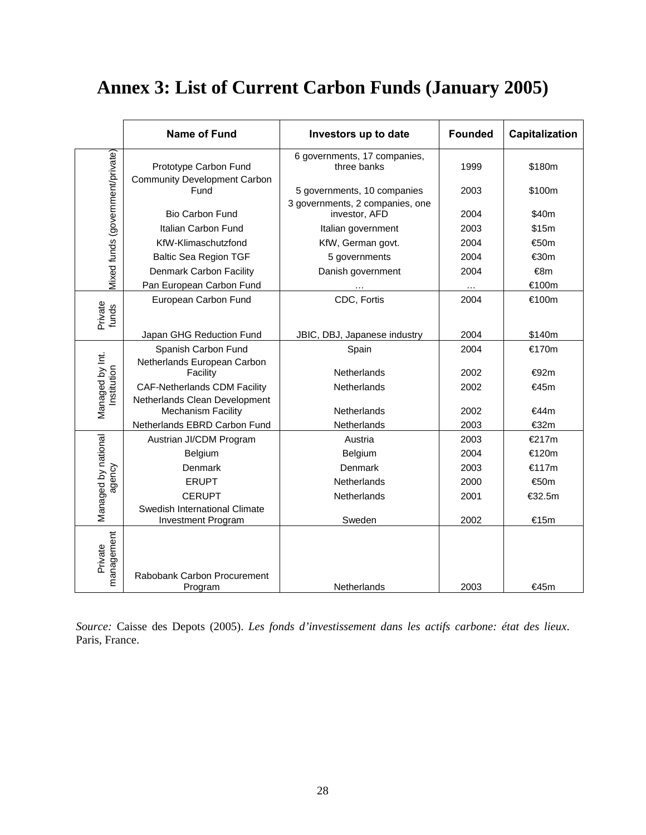# **Annex 3: List of Current Carbon Funds (January 2005)**

|                                  | <b>Name of Fund</b>                                                  | Investors up to date                             | <b>Founded</b> | Capitalization |
|----------------------------------|----------------------------------------------------------------------|--------------------------------------------------|----------------|----------------|
| Mixed funds (government/private) | Prototype Carbon Fund<br><b>Community Development Carbon</b>         | 6 governments, 17 companies,<br>three banks      | 1999           | \$180m         |
|                                  | Fund                                                                 | 5 governments, 10 companies                      | 2003           | \$100m         |
|                                  | <b>Bio Carbon Fund</b>                                               | 3 governments, 2 companies, one<br>investor, AFD | 2004           | \$40m          |
|                                  | Italian Carbon Fund                                                  | Italian government                               | 2003           | \$15m          |
|                                  | KfW-Klimaschutzfond                                                  | KfW, German govt.                                | 2004           | €50m           |
|                                  | <b>Baltic Sea Region TGF</b>                                         | 5 governments                                    | 2004           | €30m           |
|                                  | Denmark Carbon Facility                                              | Danish government                                | 2004           | €8m            |
|                                  | Pan European Carbon Fund                                             |                                                  |                | €100m          |
| Private<br>funds                 | European Carbon Fund                                                 | CDC, Fortis                                      | 2004           | €100m          |
|                                  | Japan GHG Reduction Fund                                             | JBIC, DBJ, Japanese industry                     | 2004           | \$140m         |
|                                  | Spanish Carbon Fund<br>Netherlands European Carbon                   | Spain                                            | 2004           | €170m          |
|                                  | Facility                                                             | <b>Netherlands</b>                               | 2002           | €92m           |
| Managed by Int.<br>Institution   | <b>CAF-Netherlands CDM Facility</b><br>Netherlands Clean Development | Netherlands                                      | 2002           | €45m           |
|                                  | <b>Mechanism Facility</b>                                            | <b>Netherlands</b>                               | 2002           | €44m           |
|                                  | Netherlands EBRD Carbon Fund                                         | Netherlands                                      | 2003           | €32m           |
|                                  | Austrian JI/CDM Program                                              | Austria                                          | 2003           | €217m          |
|                                  | Belgium                                                              | <b>Belgium</b>                                   | 2004           | €120m          |
| agency                           | Denmark                                                              | Denmark                                          | 2003           | €117m          |
|                                  | <b>ERUPT</b>                                                         | Netherlands                                      | 2000           | €50m           |
|                                  | <b>CERUPT</b>                                                        | Netherlands                                      | 2001           | €32.5m         |
| Managed by national              | Swedish International Climate<br>Investment Program                  | Sweden                                           | 2002           | €15m           |
| management<br>Private            | Rabobank Carbon Procurement<br>Program                               | Netherlands                                      | 2003           | €45m           |

*Source:* Caisse des Depots (2005). *Les fonds d'investissement dans les actifs carbone: état des lieux*. Paris, France.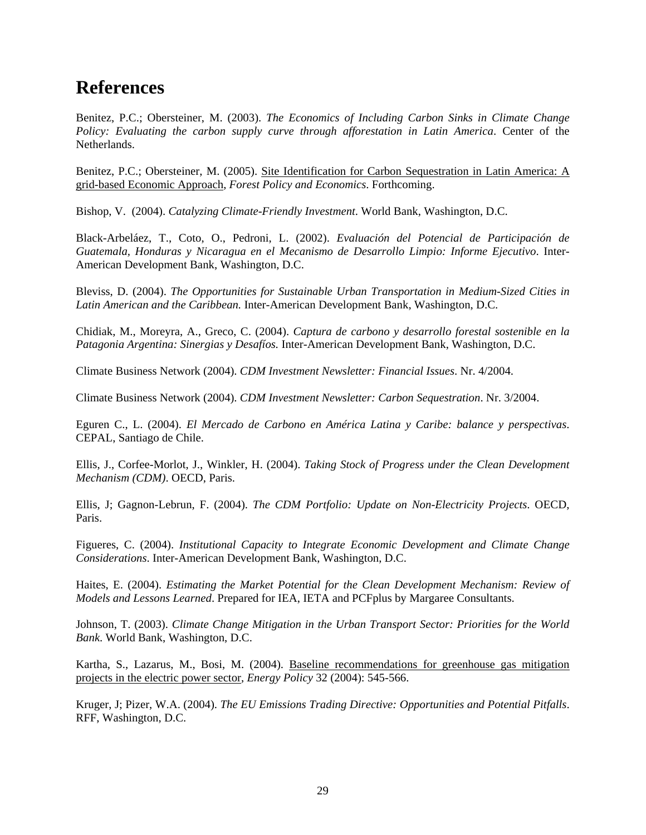## **References**

Benitez, P.C.; Obersteiner, M. (2003). *The Economics of Including Carbon Sinks in Climate Change Policy: Evaluating the carbon supply curve through afforestation in Latin America*. Center of the Netherlands.

Benitez, P.C.; Obersteiner, M. (2005). Site Identification for Carbon Sequestration in Latin America: A grid-based Economic Approach, *Forest Policy and Economics*. Forthcoming.

Bishop, V. (2004). *Catalyzing Climate-Friendly Investment*. World Bank, Washington, D.C.

Black-Arbeláez, T., Coto, O., Pedroni, L. (2002). *Evaluación del Potencial de Participación de Guatemala, Honduras y Nicaragua en el Mecanismo de Desarrollo Limpio: Informe Ejecutivo*. Inter-American Development Bank, Washington, D.C.

Bleviss, D. (2004). *The Opportunities for Sustainable Urban Transportation in Medium-Sized Cities in Latin American and the Caribbean.* Inter-American Development Bank, Washington, D.C.

Chidiak, M., Moreyra, A., Greco, C. (2004). *Captura de carbono y desarrollo forestal sostenible en la Patagonia Argentina: Sinergias y Desafíos.* Inter-American Development Bank, Washington, D.C.

Climate Business Network (2004). *CDM Investment Newsletter: Financial Issues*. Nr. 4/2004.

Climate Business Network (2004). *CDM Investment Newsletter: Carbon Sequestration*. Nr. 3/2004.

Eguren C., L. (2004). *El Mercado de Carbono en América Latina y Caribe: balance y perspectivas*. CEPAL, Santiago de Chile.

Ellis, J., Corfee-Morlot, J., Winkler, H. (2004). *Taking Stock of Progress under the Clean Development Mechanism (CDM)*. OECD, Paris.

Ellis, J; Gagnon-Lebrun, F. (2004). *The CDM Portfolio: Update on Non-Electricity Projects*. OECD, Paris.

Figueres, C. (2004). *Institutional Capacity to Integrate Economic Development and Climate Change Considerations*. Inter-American Development Bank, Washington, D.C.

Haites, E. (2004). *Estimating the Market Potential for the Clean Development Mechanism: Review of Models and Lessons Learned*. Prepared for IEA, IETA and PCFplus by Margaree Consultants.

Johnson, T. (2003). *Climate Change Mitigation in the Urban Transport Sector: Priorities for the World Bank*. World Bank, Washington, D.C.

Kartha, S., Lazarus, M., Bosi, M. (2004). Baseline recommendations for greenhouse gas mitigation projects in the electric power sector, *Energy Policy* 32 (2004): 545-566.

Kruger, J; Pizer, W.A. (2004). *The EU Emissions Trading Directive: Opportunities and Potential Pitfalls*. RFF, Washington, D.C.